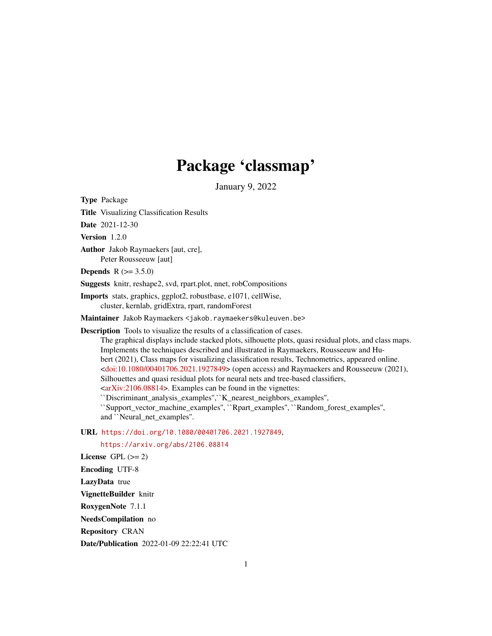# Package 'classmap'

January 9, 2022

<span id="page-0-0"></span>Type Package Title Visualizing Classification Results Date 2021-12-30 Version 1.2.0 Author Jakob Raymaekers [aut, cre], Peter Rousseeuw [aut] **Depends**  $R (= 3.5.0)$ Suggests knitr, reshape2, svd, rpart.plot, nnet, robCompositions Imports stats, graphics, ggplot2, robustbase, e1071, cellWise, cluster, kernlab, gridExtra, rpart, randomForest Maintainer Jakob Raymaekers <jakob.raymaekers@kuleuven.be> Description Tools to visualize the results of a classification of cases. The graphical displays include stacked plots, silhouette plots, quasi residual plots, and class maps. Implements the techniques described and illustrated in Raymaekers, Rousseeuw and Hubert (2021), Class maps for visualizing classification results, Technometrics, appeared online. [<doi:10.1080/00401706.2021.1927849>](https://doi.org/10.1080/00401706.2021.1927849) (open access) and Raymaekers and Rousseeuw (2021), Silhouettes and quasi residual plots for neural nets and tree-based classifiers,  $\langle \text{arXiv:} 2106.08814 \rangle$ . Examples can be found in the vignettes: ``Discriminant\_analysis\_examples'',``K\_nearest\_neighbors\_examples'', ``Support\_vector\_machine\_examples'', ``Rpart\_examples'', ``Random\_forest\_examples'', and ``Neural\_net\_examples". URL <https://doi.org/10.1080/00401706.2021.1927849>, <https://arxiv.org/abs/2106.08814> License GPL  $(>= 2)$ Encoding UTF-8 LazyData true VignetteBuilder knitr RoxygenNote 7.1.1 NeedsCompilation no Repository CRAN

Date/Publication 2022-01-09 22:22:41 UTC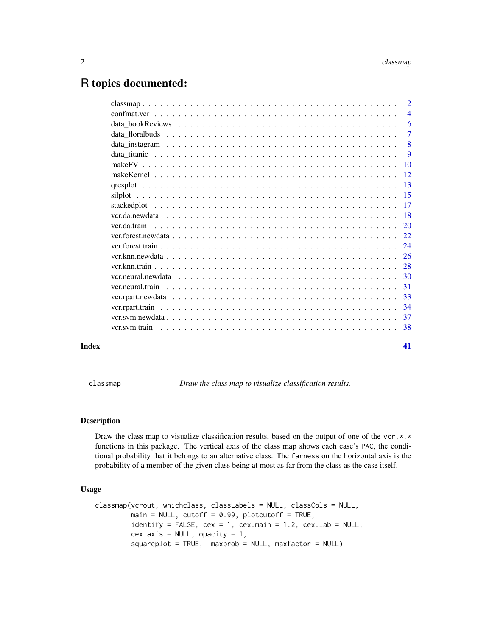# <span id="page-1-0"></span>R topics documented:

|       | $\overline{4}$ |
|-------|----------------|
|       | -6             |
|       | $\overline{7}$ |
|       |                |
|       | $\overline{Q}$ |
|       |                |
|       |                |
|       |                |
|       |                |
|       |                |
|       |                |
|       |                |
|       |                |
|       |                |
|       |                |
|       |                |
|       |                |
|       |                |
|       |                |
|       |                |
|       |                |
|       |                |
| Index | 41             |

<span id="page-1-1"></span>classmap *Draw the class map to visualize classification results.*

# Description

Draw the class map to visualize classification results, based on the output of one of the vcr. $\star$ . $\star$ functions in this package. The vertical axis of the class map shows each case's PAC, the conditional probability that it belongs to an alternative class. The farness on the horizontal axis is the probability of a member of the given class being at most as far from the class as the case itself.

# Usage

```
classmap(vcrout, whichclass, classLabels = NULL, classCols = NULL,
        main = NULL, cutoff = 0.99, plotcutoff = TRUE,
         identity = FALSE, cex = 1, cex.main = 1.2, cex.lab = NULL,cex. axis = NULL, opacity = 1,squareplot = TRUE, maxprob = NULL, maxfactor = NULL)
```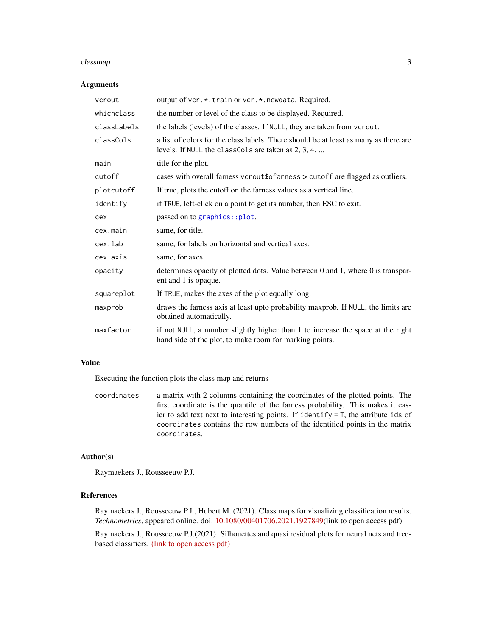#### <span id="page-2-0"></span>classmap 3

# Arguments

| vcrout      | output of vcr.*.train or vcr.*.newdata. Required.                                                                                           |
|-------------|---------------------------------------------------------------------------------------------------------------------------------------------|
| whichclass  | the number or level of the class to be displayed. Required.                                                                                 |
| classLabels | the labels (levels) of the classes. If NULL, they are taken from vcrout.                                                                    |
| classCols   | a list of colors for the class labels. There should be at least as many as there are<br>levels. If NULL the classCols are taken as 2, 3, 4, |
| main        | title for the plot.                                                                                                                         |
| cutoff      | cases with overall farness vcrout\$ofarness > cutoff are flagged as outliers.                                                               |
| plotcutoff  | If true, plots the cutoff on the farness values as a vertical line.                                                                         |
| identify    | if TRUE, left-click on a point to get its number, then ESC to exit.                                                                         |
| cex         | passed on to graphics::plot.                                                                                                                |
| cex.main    | same, for title.                                                                                                                            |
| cex.lab     | same, for labels on horizontal and vertical axes.                                                                                           |
| cex.axis    | same, for axes.                                                                                                                             |
| opacity     | determines opacity of plotted dots. Value between 0 and 1, where 0 is transpar-<br>ent and 1 is opaque.                                     |
| squareplot  | If TRUE, makes the axes of the plot equally long.                                                                                           |
| maxprob     | draws the farness axis at least upto probability maxprob. If NULL, the limits are<br>obtained automatically.                                |
| maxfactor   | if not NULL, a number slightly higher than 1 to increase the space at the right<br>hand side of the plot, to make room for marking points.  |

# Value

Executing the function plots the class map and returns

coordinates a matrix with 2 columns containing the coordinates of the plotted points. The first coordinate is the quantile of the farness probability. This makes it easier to add text next to interesting points. If identify = T, the attribute ids of coordinates contains the row numbers of the identified points in the matrix coordinates.

# Author(s)

Raymaekers J., Rousseeuw P.J.

# References

Raymaekers J., Rousseeuw P.J., Hubert M. (2021). Class maps for visualizing classification results. *Technometrics*, appeared online. doi: [10.1080/00401706.2021.1927849\(](https://doi.org/10.1080/00401706.2021.1927849)link to open access pdf)

Raymaekers J., Rousseeuw P.J.(2021). Silhouettes and quasi residual plots for neural nets and treebased classifiers. [\(link to open access pdf\)](https://arxiv.org/abs/2106.08814)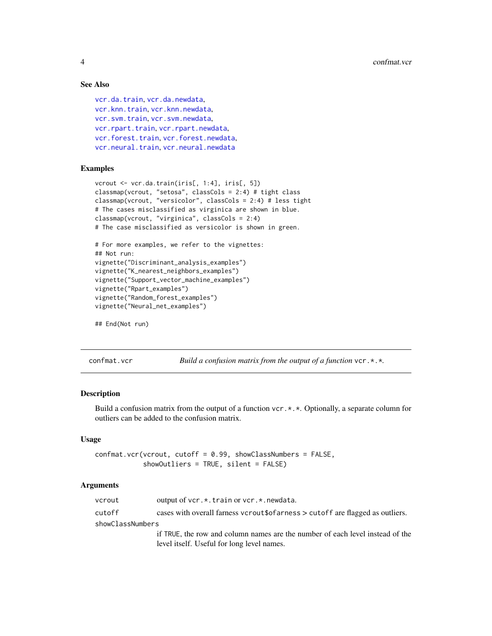# See Also

```
vcr.da.train, vcr.da.newdata,
vcr.knn.train, vcr.knn.newdata,
vcr.svm.train, vcr.svm.newdata,
vcr.rpart.trainvcr.rpart.newdata,
vcr.forest.trainvcr.forest.newdata,
vcr.neural.trainvcr.neural.newdata
```
# Examples

```
vcrout <- vcr.da.train(iris[, 1:4], iris[, 5])
classmap(vcrout, "setosa", classCols = 2:4) # tight class
classmap(vcrout, "versicolor", classCols = 2:4) # less tight
# The cases misclassified as virginica are shown in blue.
classmap(vcrout, "virginica", classCols = 2:4)
# The case misclassified as versicolor is shown in green.
# For more examples, we refer to the vignettes:
## Not run:
vignette("Discriminant_analysis_examples")
vignette("K_nearest_neighbors_examples")
vignette("Support_vector_machine_examples")
vignette("Rpart_examples")
vignette("Random_forest_examples")
vignette("Neural_net_examples")
```

```
## End(Not run)
```
confmat.vcr *Build a confusion matrix from the output of a function* vcr.\*.\**.*

#### **Description**

Build a confusion matrix from the output of a function vcr.  $\star$ .  $\star$ . Optionally, a separate column for outliers can be added to the confusion matrix.

#### Usage

```
confmat.vcr(vcrout, cutoff = 0.99, showClassNumbers = FALSE,
            showOutliers = TRUE, silent = FALSE)
```
#### Arguments

| vcrout           | output of vcr. *. train or vcr. *. newdata.                                         |
|------------------|-------------------------------------------------------------------------------------|
| cutoff           | cases with overall farness vcrout\$ of areas $\geq$ cutoff are flagged as outliers. |
| showClassNumbers |                                                                                     |
|                  | if TRUE, the row and column names are the number of each level instead of the       |
|                  | level itself. Useful for long level names.                                          |

<span id="page-3-0"></span>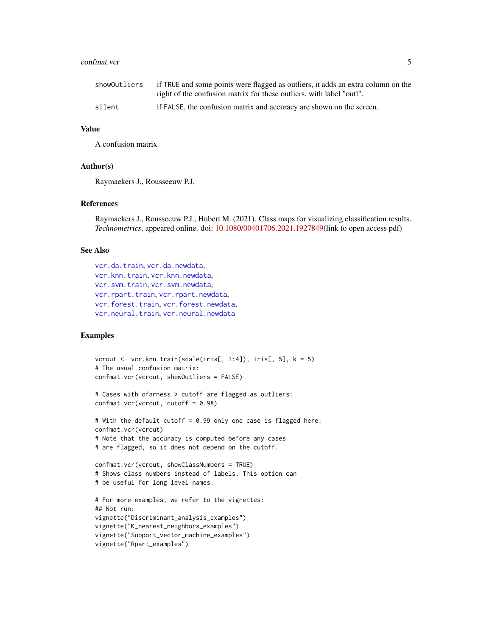#### <span id="page-4-0"></span>confmat.vcr 5

| showOutliers | if TRUE and some points were flagged as outliers, it adds an extra column on the<br>right of the confusion matrix for these outliers, with label "outl". |
|--------------|----------------------------------------------------------------------------------------------------------------------------------------------------------|
| silent       | if FALSE, the confusion matrix and accuracy are shown on the screen.                                                                                     |

#### Value

A confusion matrix

#### Author(s)

Raymaekers J., Rousseeuw P.J.

# References

Raymaekers J., Rousseeuw P.J., Hubert M. (2021). Class maps for visualizing classification results. *Technometrics*, appeared online. doi: [10.1080/00401706.2021.1927849\(](https://doi.org/10.1080/00401706.2021.1927849)link to open access pdf)

#### See Also

```
vcr.da.train, vcr.da.newdata,
vcr.knn.train, vcr.knn.newdata,
vcr.svm.train, vcr.svm.newdata,
vcr.rpart.trainvcr.rpart.newdata,
vcr.forest.trainvcr.forest.newdata,
vcr.neural.trainvcr.neural.newdata
```
# Examples

```
vcrout \leq vcr.knn.train(scale(iris[, 1:4]), iris[, 5], k = 5)
# The usual confusion matrix:
confmat.vcr(vcrout, showOutliers = FALSE)
# Cases with ofarness > cutoff are flagged as outliers:
confmat.vcr(vcrout, cutoff = 0.98)
# With the default cutoff = 0.99 only one case is flagged here:
confmat.vcr(vcrout)
# Note that the accuracy is computed before any cases
# are flagged, so it does not depend on the cutoff.
confmat.vcr(vcrout, showClassNumbers = TRUE)
# Shows class numbers instead of labels. This option can
# be useful for long level names.
# For more examples, we refer to the vignettes:
## Not run:
vignette("Discriminant_analysis_examples")
vignette("K_nearest_neighbors_examples")
vignette("Support_vector_machine_examples")
vignette("Rpart_examples")
```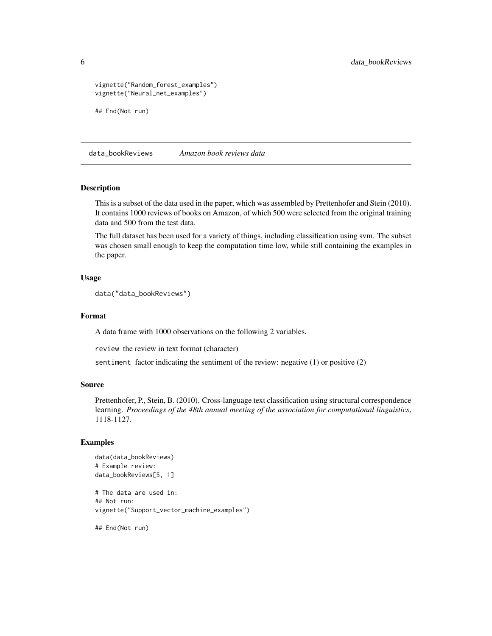```
vignette("Random_forest_examples")
vignette("Neural_net_examples")
## End(Not run)
```
data\_bookReviews *Amazon book reviews data*

#### Description

This is a subset of the data used in the paper, which was assembled by Prettenhofer and Stein (2010). It contains 1000 reviews of books on Amazon, of which 500 were selected from the original training data and 500 from the test data.

The full dataset has been used for a variety of things, including classification using svm. The subset was chosen small enough to keep the computation time low, while still containing the examples in the paper.

# Usage

```
data("data_bookReviews")
```
#### Format

A data frame with 1000 observations on the following 2 variables.

review the review in text format (character)

sentiment factor indicating the sentiment of the review: negative (1) or positive (2)

#### Source

Prettenhofer, P., Stein, B. (2010). Cross-language text classification using structural correspondence learning. *Proceedings of the 48th annual meeting of the association for computational linguistics*, 1118-1127.

#### Examples

```
data(data_bookReviews)
# Example review:
data_bookReviews[5, 1]
# The data are used in:
## Not run:
vignette("Support_vector_machine_examples")
```
## End(Not run)

<span id="page-5-0"></span>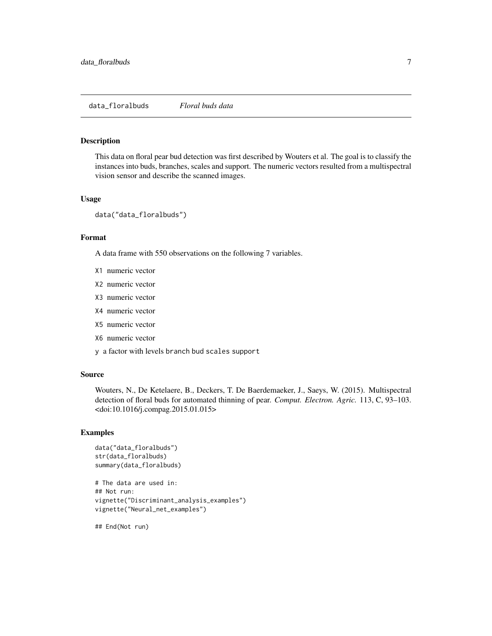# <span id="page-6-0"></span>Description

This data on floral pear bud detection was first described by Wouters et al. The goal is to classify the instances into buds, branches, scales and support. The numeric vectors resulted from a multispectral vision sensor and describe the scanned images.

#### Usage

data("data\_floralbuds")

## Format

A data frame with 550 observations on the following 7 variables.

- X1 numeric vector
- X2 numeric vector
- X3 numeric vector
- X4 numeric vector
- X5 numeric vector
- X6 numeric vector
- y a factor with levels branch bud scales support

#### Source

Wouters, N., De Ketelaere, B., Deckers, T. De Baerdemaeker, J., Saeys, W. (2015). Multispectral detection of floral buds for automated thinning of pear. *Comput. Electron. Agric.* 113, C, 93–103. <doi:10.1016/j.compag.2015.01.015>

#### Examples

```
data("data_floralbuds")
str(data_floralbuds)
summary(data_floralbuds)
```

```
# The data are used in:
## Not run:
vignette("Discriminant_analysis_examples")
vignette("Neural_net_examples")
```
## End(Not run)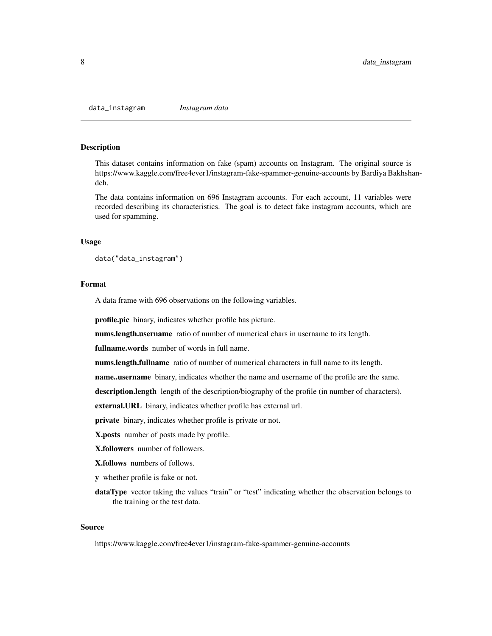#### <span id="page-7-0"></span>Description

This dataset contains information on fake (spam) accounts on Instagram. The original source is https://www.kaggle.com/free4ever1/instagram-fake-spammer-genuine-accounts by Bardiya Bakhshandeh.

The data contains information on 696 Instagram accounts. For each account, 11 variables were recorded describing its characteristics. The goal is to detect fake instagram accounts, which are used for spamming.

#### Usage

```
data("data_instagram")
```
#### Format

A data frame with 696 observations on the following variables.

profile.pic binary, indicates whether profile has picture.

nums.length.username ratio of number of numerical chars in username to its length.

fullname.words number of words in full name.

nums.length.fullname ratio of number of numerical characters in full name to its length.

name..username binary, indicates whether the name and username of the profile are the same.

description.length length of the description/biography of the profile (in number of characters).

external.URL binary, indicates whether profile has external url.

private binary, indicates whether profile is private or not.

X.posts number of posts made by profile.

X.followers number of followers.

X.follows numbers of follows.

y whether profile is fake or not.

dataType vector taking the values "train" or "test" indicating whether the observation belongs to the training or the test data.

#### Source

https://www.kaggle.com/free4ever1/instagram-fake-spammer-genuine-accounts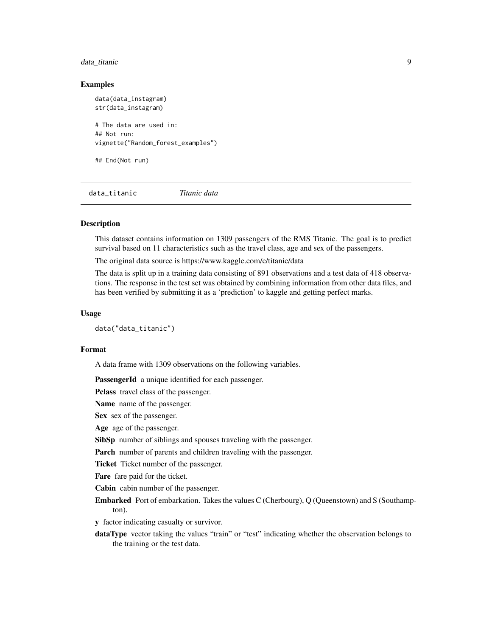# <span id="page-8-0"></span>data\_titanic 9

#### Examples

data(data\_instagram) str(data\_instagram) # The data are used in: ## Not run: vignette("Random\_forest\_examples")

## End(Not run)

data\_titanic *Titanic data*

#### Description

This dataset contains information on 1309 passengers of the RMS Titanic. The goal is to predict survival based on 11 characteristics such as the travel class, age and sex of the passengers.

The original data source is https://www.kaggle.com/c/titanic/data

The data is split up in a training data consisting of 891 observations and a test data of 418 observations. The response in the test set was obtained by combining information from other data files, and has been verified by submitting it as a 'prediction' to kaggle and getting perfect marks.

#### Usage

data("data\_titanic")

#### Format

A data frame with 1309 observations on the following variables.

PassengerId a unique identified for each passenger.

Pclass travel class of the passenger.

Name name of the passenger.

Sex sex of the passenger.

Age age of the passenger.

SibSp number of siblings and spouses traveling with the passenger.

Parch number of parents and children traveling with the passenger.

Ticket Ticket number of the passenger.

Fare fare paid for the ticket.

Cabin cabin number of the passenger.

Embarked Port of embarkation. Takes the values C (Cherbourg), Q (Queenstown) and S (Southampton).

y factor indicating casualty or survivor.

dataType vector taking the values "train" or "test" indicating whether the observation belongs to the training or the test data.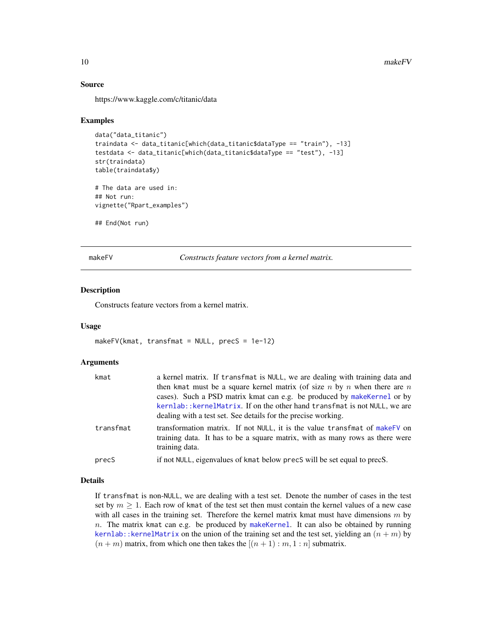#### Source

https://www.kaggle.com/c/titanic/data

#### Examples

```
data("data_titanic")
traindata <- data_titanic[which(data_titanic$dataType == "train"), -13]
testdata <- data_titanic[which(data_titanic$dataType == "test"), -13]
str(traindata)
table(traindata$y)
# The data are used in:
## Not run:
vignette("Rpart_examples")
## End(Not run)
```
<span id="page-9-1"></span>makeFV *Constructs feature vectors from a kernel matrix.*

#### Description

Constructs feature vectors from a kernel matrix.

#### Usage

```
makeFV(kmat, transfront = NULL, precS = 1e-12)
```
#### Arguments

| kmat      | a kernel matrix. If transfmat is NULL, we are dealing with training data and<br>then kmat must be a square kernel matrix (of size n by n when there are n<br>cases). Such a PSD matrix kmat can e.g. be produced by make Kernel or by<br>kernlab:: kernelMatrix. If on the other hand transfmat is not NULL, we are<br>dealing with a test set. See details for the precise working. |
|-----------|--------------------------------------------------------------------------------------------------------------------------------------------------------------------------------------------------------------------------------------------------------------------------------------------------------------------------------------------------------------------------------------|
| transfmat | transformation matrix. If not NULL, it is the value transfmat of makeFV on<br>training data. It has to be a square matrix, with as many rows as there were<br>training data.                                                                                                                                                                                                         |
| precS     | if not NULL, eigenvalues of kmat below precs will be set equal to precs.                                                                                                                                                                                                                                                                                                             |

# Details

If transfmat is non-NULL, we are dealing with a test set. Denote the number of cases in the test set by  $m \geq 1$ . Each row of kmat of the test set then must contain the kernel values of a new case with all cases in the training set. Therefore the kernel matrix kmat must have dimensions  $m$  by  $n.$  The matrix kmat can e.g. be produced by [makeKernel](#page-11-1). It can also be obtained by running kernlab:: kernelMatrix on the union of the training set and the test set, yielding an  $(n + m)$  by  $(n + m)$  matrix, from which one then takes the  $[(n + 1) : m, 1 : n]$  submatrix.

<span id="page-9-0"></span>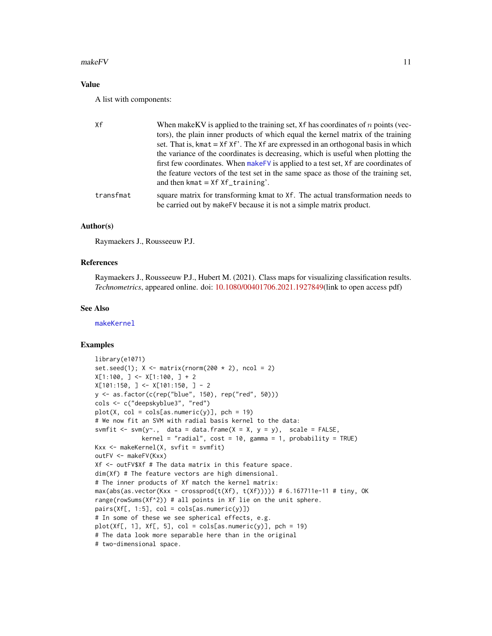#### <span id="page-10-0"></span> $makeFV$  and  $11$

# Value

A list with components:

| Xf        | When make KV is applied to the training set, $Xf$ has coordinates of n points (vec-<br>tors), the plain inner products of which equal the kernel matrix of the training<br>set. That is, kmat = $Xf'$ . The $Xf'$ are expressed in an orthogonal basis in which<br>the variance of the coordinates is decreasing, which is useful when plotting the |
|-----------|-----------------------------------------------------------------------------------------------------------------------------------------------------------------------------------------------------------------------------------------------------------------------------------------------------------------------------------------------------|
|           | first few coordinates. When make FV is applied to a test set, Xf are coordinates of<br>the feature vectors of the test set in the same space as those of the training set,<br>and then kmat $= Xf Xf_{\text{triangle}}$                                                                                                                             |
| transfmat | square matrix for transforming kmat to Xf. The actual transformation needs to<br>be carried out by makeFV because it is not a simple matrix product.                                                                                                                                                                                                |

### Author(s)

Raymaekers J., Rousseeuw P.J.

#### References

Raymaekers J., Rousseeuw P.J., Hubert M. (2021). Class maps for visualizing classification results. *Technometrics*, appeared online. doi: [10.1080/00401706.2021.1927849\(](https://doi.org/10.1080/00401706.2021.1927849)link to open access pdf)

# See Also

[makeKernel](#page-11-1)

# Examples

```
library(e1071)
set.seed(1); X \leq matrix(rnorm(200 * 2), ncol = 2)
X[1:100, ] \leftarrow X[1:100, ] + 2X[101:150, ] \leftarrow X[101:150, ] - 2y <- as.factor(c(rep("blue", 150), rep("red", 50)))
cols <- c("deepskyblue3", "red")
plot(X, col = cols[as.numeric(y)], pch = 19)# We now fit an SVM with radial basis kernel to the data:
svmfit \leq svm(y\leq., data = data.frame(X = X, y = y), scale = FALSE,
             \text{kernel} = \text{"radial", cost} = 10, \text{gamma} = 1, \text{probability} = \text{TRUE}Kxx <- makeKernel(X, svfit = svmfit)
outFV <- makeFV(Kxx)
Xf <- outFV$Xf # The data matrix in this feature space.
dim(Xf) # The feature vectors are high dimensional.
# The inner products of Xf match the kernel matrix:
max(abs(as.vector(Kxx - crossprod(t(Xf), t(Xf)))) # 6.167711e-11 # tiny, OKrange(rowSums(Xf^2)) # all points in Xf lie on the unit sphere.
pairs(Xf[, 1:5], col = cols[as.numeric(y)])# In some of these we see spherical effects, e.g.
plot(Xf[, 1], Xf[, 5], col = cols[as.numeric(y)], pch = 19)# The data look more separable here than in the original
# two-dimensional space.
```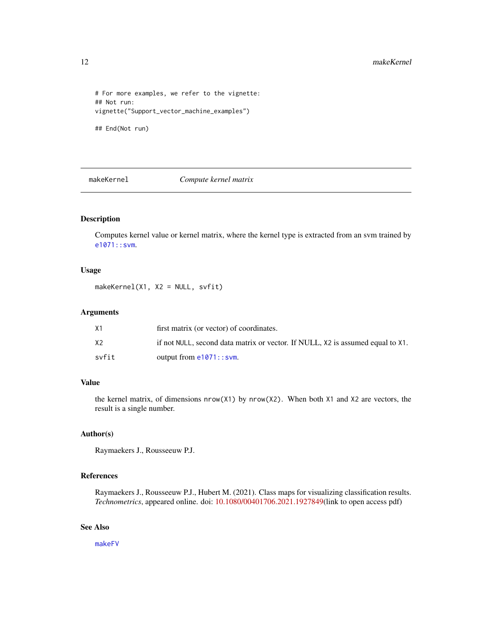```
# For more examples, we refer to the vignette:
## Not run:
vignette("Support_vector_machine_examples")
```
## End(Not run)

<span id="page-11-1"></span>makeKernel *Compute kernel matrix*

# Description

Computes kernel value or kernel matrix, where the kernel type is extracted from an svm trained by [e1071::svm](#page-0-0).

# Usage

makeKernel(X1, X2 = NULL, svfit)

# Arguments

| Х1    | first matrix (or vector) of coordinates.                                       |
|-------|--------------------------------------------------------------------------------|
| Х2    | if not NULL, second data matrix or vector. If NULL, X2 is assumed equal to X1. |
| svfit | output from $e1071$ : : svm.                                                   |

# Value

the kernel matrix, of dimensions nrow(X1) by nrow(X2). When both X1 and X2 are vectors, the result is a single number.

#### Author(s)

Raymaekers J., Rousseeuw P.J.

# References

Raymaekers J., Rousseeuw P.J., Hubert M. (2021). Class maps for visualizing classification results. *Technometrics*, appeared online. doi: [10.1080/00401706.2021.1927849\(](https://doi.org/10.1080/00401706.2021.1927849)link to open access pdf)

# See Also

[makeFV](#page-9-1)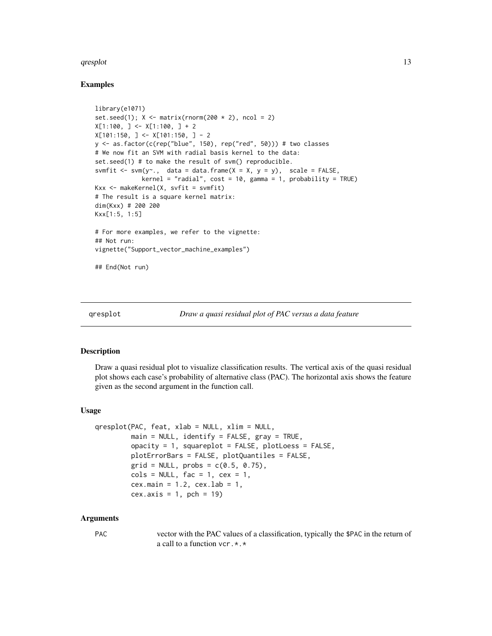#### <span id="page-12-0"></span>qresplot that the contract of the contract of the contract of the contract of the contract of the contract of the contract of the contract of the contract of the contract of the contract of the contract of the contract of

# Examples

```
library(e1071)
set.seed(1); X \leq matrix(rnorm(200 * 2), ncol = 2)
X[1:100, ] \leftarrow X[1:100, ] + 2X[101:150, ] <- X[101:150, ] - 2
y <- as.factor(c(rep("blue", 150), rep("red", 50))) # two classes
# We now fit an SVM with radial basis kernel to the data:
set.seed(1) # to make the result of svm() reproducible.
svmfit \leq svm(y\leq., data = data.frame(X = X, y = y), scale = FALSE,
             kernel = "radial", cost = 10, gamma = 1, probability = TRUE)Kxx \leq makeKernel(X, svfit = svmfit)
# The result is a square kernel matrix:
dim(Kxx) # 200 200
Kxx[1:5, 1:5]
# For more examples, we refer to the vignette:
## Not run:
vignette("Support_vector_machine_examples")
## End(Not run)
```
#### **Description**

Draw a quasi residual plot to visualize classification results. The vertical axis of the quasi residual plot shows each case's probability of alternative class (PAC). The horizontal axis shows the feature given as the second argument in the function call.

#### Usage

```
qresplot(PAC, feat, xlab = NULL, xlim = NULL,
         main = NULL, identify = FALSE, gray = TRUE,
         opacity = 1, squareplot = FALSE, plotLoess = FALSE,
         plotErrorBars = FALSE, plotQuantiles = FALSE,
         grid = NULL, probs = c(0.5, 0.75),cols = NULL, fac = 1, cex = 1,cex.mainloop = 1.2, cexu = 1,cex. axis = 1, pch = 19
```
#### Arguments

PAC vector with the PAC values of a classification, typically the \$PAC in the return of a call to a function vcr.\*.\*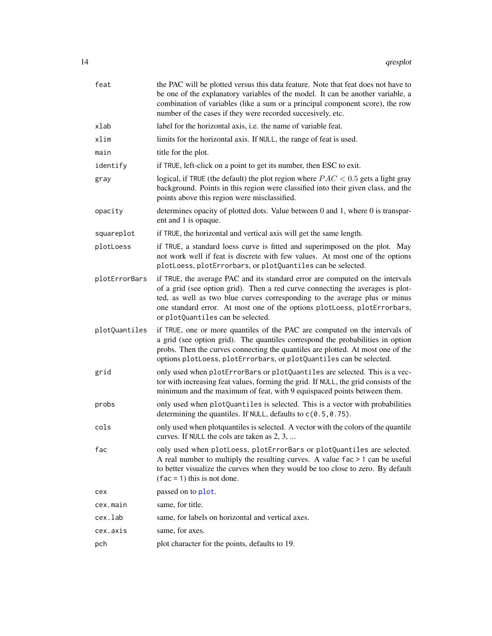<span id="page-13-0"></span>

| feat          | the PAC will be plotted versus this data feature. Note that feat does not have to<br>be one of the explanatory variables of the model. It can be another variable, a<br>combination of variables (like a sum or a principal component score), the row<br>number of the cases if they were recorded succesively, etc.                                           |
|---------------|----------------------------------------------------------------------------------------------------------------------------------------------------------------------------------------------------------------------------------------------------------------------------------------------------------------------------------------------------------------|
| xlab          | label for the horizontal axis, <i>i.e.</i> the name of variable feat.                                                                                                                                                                                                                                                                                          |
| xlim          | limits for the horizontal axis. If NULL, the range of feat is used.                                                                                                                                                                                                                                                                                            |
| main          | title for the plot.                                                                                                                                                                                                                                                                                                                                            |
| identify      | if TRUE, left-click on a point to get its number, then ESC to exit.                                                                                                                                                                                                                                                                                            |
| gray          | logical, if TRUE (the default) the plot region where $PAC < 0.5$ gets a light gray<br>background. Points in this region were classified into their given class, and the<br>points above this region were misclassified.                                                                                                                                        |
| opacity       | determines opacity of plotted dots. Value between 0 and 1, where 0 is transpar-<br>ent and 1 is opaque.                                                                                                                                                                                                                                                        |
| squareplot    | if TRUE, the horizontal and vertical axis will get the same length.                                                                                                                                                                                                                                                                                            |
| plotLoess     | if TRUE, a standard loess curve is fitted and superimposed on the plot. May<br>not work well if feat is discrete with few values. At most one of the options<br>plotLoess, plotErrorbars, or plotQuantiles can be selected.                                                                                                                                    |
| plotErrorBars | if TRUE, the average PAC and its standard error are computed on the intervals<br>of a grid (see option grid). Then a red curve connecting the averages is plot-<br>ted, as well as two blue curves corresponding to the average plus or minus<br>one standard error. At most one of the options plotLoess, plotErrorbars,<br>or plotQuantiles can be selected. |
| plotQuantiles | if TRUE, one or more quantiles of the PAC are computed on the intervals of<br>a grid (see option grid). The quantiles correspond the probabilities in option<br>probs. Then the curves connecting the quantiles are plotted. At most one of the<br>options plotLoess, plotErrorbars, or plotQuantiles can be selected.                                         |
| grid          | only used when plotErrorBars or plotQuantiles are selected. This is a vec-<br>tor with increasing feat values, forming the grid. If NULL, the grid consists of the<br>minimum and the maximum of feat, with 9 equispaced points between them.                                                                                                                  |
| probs         | only used when plotQuantiles is selected. This is a vector with probabilities<br>determining the quantiles. If NULL, defaults to $c(0.5, 0.75)$ .                                                                                                                                                                                                              |
| cols          | only used when plotquantiles is selected. A vector with the colors of the quantile<br>curves. If NULL the cols are taken as 2, 3,                                                                                                                                                                                                                              |
| fac           | only used when plotLoess, plotErrorBars or plotQuantiles are selected.<br>A real number to multiply the resulting curves. A value $fac > 1$ can be useful<br>to better visualize the curves when they would be too close to zero. By default<br>$(fac = 1)$ this is not done.                                                                                  |
| cex           | passed on to plot.                                                                                                                                                                                                                                                                                                                                             |
| cex.main      | same, for title.                                                                                                                                                                                                                                                                                                                                               |
| cex.lab       | same, for labels on horizontal and vertical axes.                                                                                                                                                                                                                                                                                                              |
| cex.axis      | same, for axes.                                                                                                                                                                                                                                                                                                                                                |
| pch           | plot character for the points, defaults to 19.                                                                                                                                                                                                                                                                                                                 |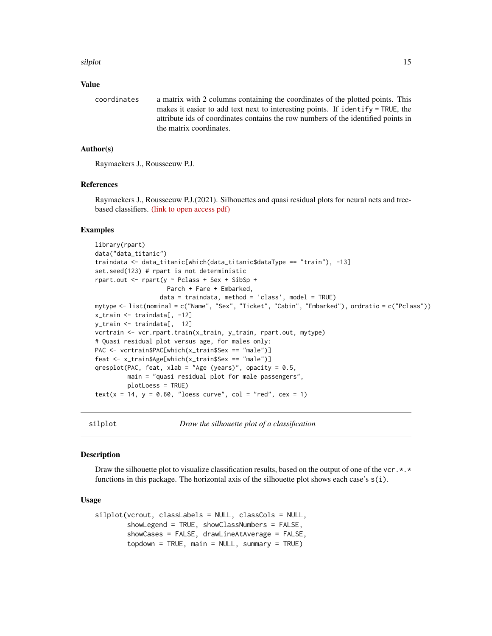#### <span id="page-14-0"></span>silplot that the state of the state of the state of the state of the state of the state of the state of the state of the state of the state of the state of the state of the state of the state of the state of the state of t

#### Value

coordinates a matrix with 2 columns containing the coordinates of the plotted points. This makes it easier to add text next to interesting points. If identify = TRUE, the attribute ids of coordinates contains the row numbers of the identified points in the matrix coordinates.

# Author(s)

Raymaekers J., Rousseeuw P.J.

# References

Raymaekers J., Rousseeuw P.J.(2021). Silhouettes and quasi residual plots for neural nets and treebased classifiers. [\(link to open access pdf\)](https://arxiv.org/abs/2106.08814)

# Examples

```
library(rpart)
data("data_titanic")
traindata <- data_titanic[which(data_titanic$dataType == "train"), -13]
set.seed(123) # rpart is not deterministic
rpart.out \le- rpart(y \sim Pclass + Sex + SibSp +
                    Parch + Fare + Embarked,
                  data = traindata, method = 'class', model = TRUE)
mytype <- list(nominal = c("Name", "Sex", "Ticket", "Cabin", "Embarked"), ordratio = c("Pclass"))
x_train <- traindata[, -12]
y_train <- traindata[, 12]
vcrtrain <- vcr.rpart.train(x_train, y_train, rpart.out, mytype)
# Quasi residual plot versus age, for males only:
PAC <- vcrtrain$PAC[which(x_train$Sex == "male")]
feat <- x_train$Age[which(x_train$Sex == "male")]
qresplot(PAC, feat, xlab = "Age (years)", opacity = 0.5,
         main = "quasi residual plot for male passengers",
         plotLoess = TRUE)
text(x = 14, y = 0.60, "loess curve", col = "red", cex = 1)
```
<span id="page-14-1"></span>silplot *Draw the silhouette plot of a classification*

#### Description

Draw the silhouette plot to visualize classification results, based on the output of one of the vcr. $\star$ . $\star$ functions in this package. The horizontal axis of the silhouette plot shows each case's  $s(i)$ .

#### Usage

```
silplot(vcrout, classLabels = NULL, classCols = NULL,
       showLegend = TRUE, showClassNumbers = FALSE,
        showCases = FALSE, drawLineAtAverage = FALSE,
       topdown = TRUE, main = NULL, summary = TRUE)
```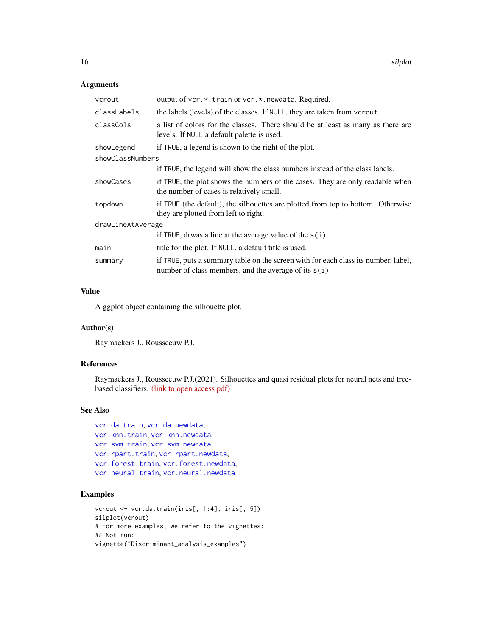# <span id="page-15-0"></span>Arguments

| vcrout            | output of vcr.*.train or vcr.*.newdata. Required.                                                                                              |  |
|-------------------|------------------------------------------------------------------------------------------------------------------------------------------------|--|
| classLabels       | the labels (levels) of the classes. If NULL, they are taken from vcrout.                                                                       |  |
| classCols         | a list of colors for the classes. There should be at least as many as there are<br>levels. If NULL a default palette is used.                  |  |
| showLegend        | if TRUE, a legend is shown to the right of the plot.                                                                                           |  |
| showClassNumbers  |                                                                                                                                                |  |
|                   | if TRUE, the legend will show the class numbers instead of the class labels.                                                                   |  |
| showCases         | if TRUE, the plot shows the numbers of the cases. They are only readable when<br>the number of cases is relatively small.                      |  |
| topdown           | if TRUE (the default), the silhouettes are plotted from top to bottom. Otherwise<br>they are plotted from left to right.                       |  |
| drawLineAtAverage |                                                                                                                                                |  |
|                   | if TRUE, drwas a line at the average value of the $s(i)$ .                                                                                     |  |
| main              | title for the plot. If NULL, a default title is used.                                                                                          |  |
| summary           | if TRUE, puts a summary table on the screen with for each class its number, label,<br>number of class members, and the average of its $s(i)$ . |  |

# Value

A ggplot object containing the silhouette plot.

# Author(s)

Raymaekers J., Rousseeuw P.J.

# References

Raymaekers J., Rousseeuw P.J.(2021). Silhouettes and quasi residual plots for neural nets and treebased classifiers. [\(link to open access pdf\)](https://arxiv.org/abs/2106.08814)

# See Also

```
vcr.da.train, vcr.da.newdata,
vcr.knn.train, vcr.knn.newdata,
vcr.svm.train, vcr.svm.newdata,
vcr.rpart.trainvcr.rpart.newdata,
vcr.forest.trainvcr.forest.newdata,
vcr.neural.trainvcr.neural.newdata
```
# Examples

```
vcrout <- vcr.da.train(iris[, 1:4], iris[, 5])
silplot(vcrout)
# For more examples, we refer to the vignettes:
## Not run:
vignette("Discriminant_analysis_examples")
```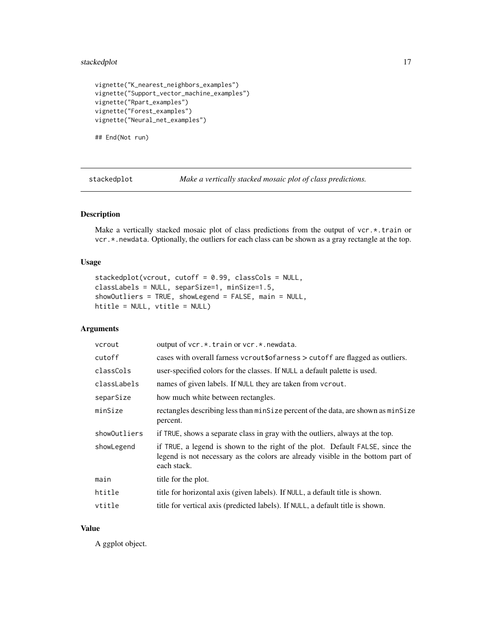# <span id="page-16-0"></span>stackedplot 17

```
vignette("K_nearest_neighbors_examples")
vignette("Support_vector_machine_examples")
vignette("Rpart_examples")
vignette("Forest_examples")
vignette("Neural_net_examples")
```
## End(Not run)

<span id="page-16-1"></span>stackedplot *Make a vertically stacked mosaic plot of class predictions.*

#### Description

Make a vertically stacked mosaic plot of class predictions from the output of vcr.\*.train or vcr.\*.newdata. Optionally, the outliers for each class can be shown as a gray rectangle at the top.

# Usage

```
stackedplot(vcrout, cutoff = 0.99, classCols = NULL,
classLabels = NULL, separSize=1, minSize=1.5,
showOutliers = TRUE, showLegend = FALSE, main = NULL,
htitle = NULL, vtitle = NULL)
```
# Arguments

| vcrout       | output of vcr.*.train or vcr.*.newdata.                                                                                                                                         |
|--------------|---------------------------------------------------------------------------------------------------------------------------------------------------------------------------------|
| cutoff       | cases with overall farness vcrout \$66 arness > cutoff are flagged as outliers.                                                                                                 |
| classCols    | user-specified colors for the classes. If NULL a default palette is used.                                                                                                       |
| classLabels  | names of given labels. If NULL they are taken from vcrout.                                                                                                                      |
| separSize    | how much white between rectangles.                                                                                                                                              |
| minSize      | rectangles describing less than minSize percent of the data, are shown as minSize<br>percent.                                                                                   |
| showOutliers | if TRUE, shows a separate class in gray with the outliers, always at the top.                                                                                                   |
| showLegend   | if TRUE, a legend is shown to the right of the plot. Default FALSE, since the<br>legend is not necessary as the colors are already visible in the bottom part of<br>each stack. |
| main         | title for the plot.                                                                                                                                                             |
| htitle       | title for horizontal axis (given labels). If NULL, a default title is shown.                                                                                                    |
| vtitle       | title for vertical axis (predicted labels). If NULL, a default title is shown.                                                                                                  |
|              |                                                                                                                                                                                 |

#### Value

A ggplot object.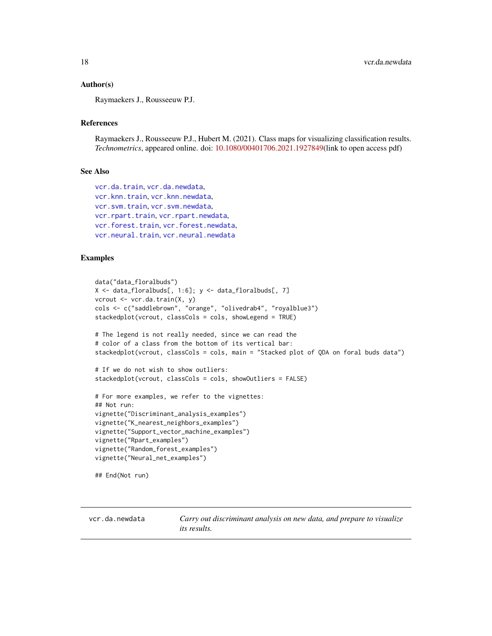#### <span id="page-17-0"></span>Author(s)

Raymaekers J., Rousseeuw P.J.

# References

Raymaekers J., Rousseeuw P.J., Hubert M. (2021). Class maps for visualizing classification results. *Technometrics*, appeared online. doi: [10.1080/00401706.2021.1927849\(](https://doi.org/10.1080/00401706.2021.1927849)link to open access pdf)

#### See Also

```
vcr.da.train, vcr.da.newdata,
vcr.knn.train, vcr.knn.newdata,
vcr.svm.train, vcr.svm.newdata,
vcr.rpart.trainvcr.rpart.newdata,
vcr.forest.trainvcr.forest.newdata,
vcr.neural.trainvcr.neural.newdata
```
#### Examples

```
data("data_floralbuds")
X \leq data_floralbuds[, 1:6]; y \leq data_floralbuds[, 7]
vcrout <- vcr.da.train(X, y)
cols <- c("saddlebrown", "orange", "olivedrab4", "royalblue3")
stackedplot(vcrout, classCols = cols, showLegend = TRUE)
# The legend is not really needed, since we can read the
# color of a class from the bottom of its vertical bar:
stackedplot(vcrout, classCols = cols, main = "Stacked plot of QDA on foral buds data")
# If we do not wish to show outliers:
stackedplot(vcrout, classCols = cols, showOutliers = FALSE)
# For more examples, we refer to the vignettes:
## Not run:
vignette("Discriminant_analysis_examples")
vignette("K_nearest_neighbors_examples")
vignette("Support_vector_machine_examples")
vignette("Rpart_examples")
vignette("Random_forest_examples")
vignette("Neural_net_examples")
## End(Not run)
```
<span id="page-17-1"></span>vcr.da.newdata *Carry out discriminant analysis on new data, and prepare to visualize its results.*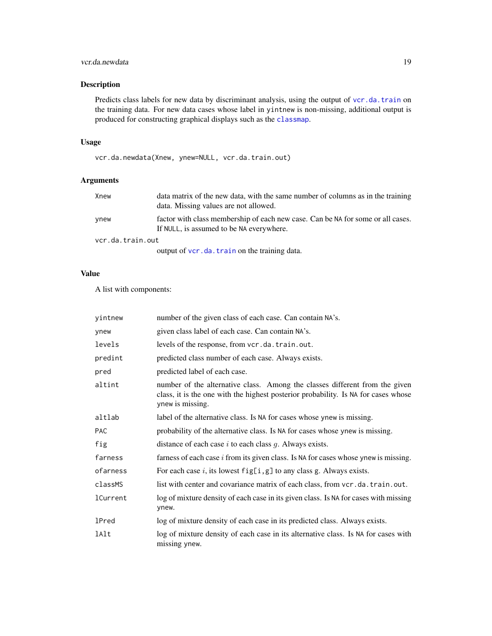# <span id="page-18-0"></span>vcr.da.newdata 19

# Description

Predicts class labels for new data by discriminant analysis, using the output of [vcr.da.train](#page-19-1) on the training data. For new data cases whose label in yintnew is non-missing, additional output is produced for constructing graphical displays such as the [classmap](#page-1-1).

# Usage

vcr.da.newdata(Xnew, ynew=NULL, vcr.da.train.out)

# Arguments

| Xnew             | data matrix of the new data, with the same number of columns as in the training<br>data. Missing values are not allowed.    |
|------------------|-----------------------------------------------------------------------------------------------------------------------------|
| ynew             | factor with class membership of each new case. Can be NA for some or all cases.<br>If NULL, is assumed to be NA everywhere. |
| vcr.da.train.out |                                                                                                                             |
|                  | output of vcr.da.train on the training data.                                                                                |

# Value

A list with components:

| yintnew      | number of the given class of each case. Can contain NA's.                                                                                                                             |
|--------------|---------------------------------------------------------------------------------------------------------------------------------------------------------------------------------------|
| ynew         | given class label of each case. Can contain NA's.                                                                                                                                     |
| levels       | levels of the response, from vcr.da.train.out.                                                                                                                                        |
| predint      | predicted class number of each case. Always exists.                                                                                                                                   |
| pred         | predicted label of each case.                                                                                                                                                         |
| altint       | number of the alternative class. Among the classes different from the given<br>class, it is the one with the highest posterior probability. Is NA for cases whose<br>ynew is missing. |
| altlab       | label of the alternative class. Is NA for cases whose ynew is missing.                                                                                                                |
| <b>PAC</b>   | probability of the alternative class. Is NA for cases whose ynew is missing.                                                                                                          |
| fig          | distance of each case $i$ to each class $g$ . Always exists.                                                                                                                          |
| farness      | farness of each case <i>i</i> from its given class. Is NA for cases whose ynew is missing.                                                                                            |
| ofarness     | For each case i, its lowest $fig[i, g]$ to any class g. Always exists.                                                                                                                |
| classMS      | list with center and covariance matrix of each class, from vcr.da.train.out.                                                                                                          |
| lCurrent     | log of mixture density of each case in its given class. Is NA for cases with missing<br>ynew.                                                                                         |
| <b>lPred</b> | log of mixture density of each case in its predicted class. Always exists.                                                                                                            |
| lAlt         | log of mixture density of each case in its alternative class. Is NA for cases with<br>missing ynew.                                                                                   |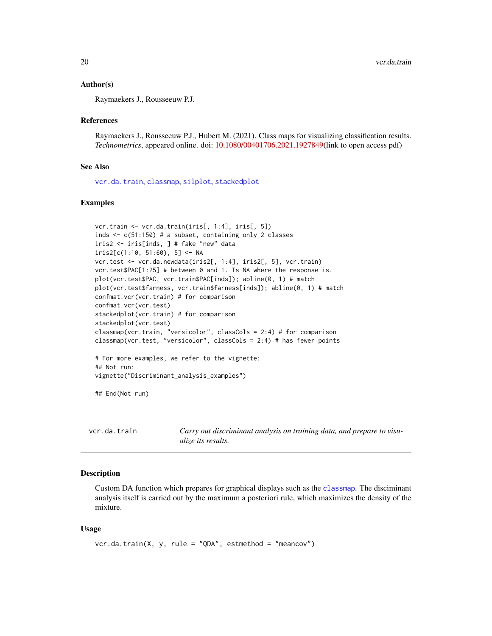#### <span id="page-19-0"></span>Author(s)

Raymaekers J., Rousseeuw P.J.

#### References

Raymaekers J., Rousseeuw P.J., Hubert M. (2021). Class maps for visualizing classification results. *Technometrics*, appeared online. doi: [10.1080/00401706.2021.1927849\(](https://doi.org/10.1080/00401706.2021.1927849)link to open access pdf)

#### See Also

[vcr.da.train](#page-19-1), [classmap](#page-1-1), [silplot](#page-14-1), [stackedplot](#page-16-1)

#### Examples

```
vcr.train <- vcr.da.train(iris[, 1:4], iris[, 5])
inds <- c(51:150) # a subset, containing only 2 classes
iris2 <- iris[inds, ] # fake "new" data
iris2[c(1:10, 51:60), 5] <- NA
vcr.test <- vcr.da.newdata(iris2[, 1:4], iris2[, 5], vcr.train)
vcr.test$PAC[1:25] # between 0 and 1. Is NA where the response is.
plot(vcr.test$PAC, vcr.train$PAC[inds]); abline(0, 1) # match
plot(vcr.test$farness, vcr.train$farness[inds]); abline(0, 1) # match
confmat.vcr(vcr.train) # for comparison
confmat.vcr(vcr.test)
stackedplot(vcr.train) # for comparison
stackedplot(vcr.test)
classmap(vcr.train, "versicolor", classCols = 2:4) # for comparison
classmap(vcr.test, "versicolor", classCols = 2:4) # has fewer points
# For more examples, we refer to the vignette:
## Not run:
vignette("Discriminant_analysis_examples")
## End(Not run)
```
<span id="page-19-1"></span>vcr.da.train *Carry out discriminant analysis on training data, and prepare to visualize its results.*

#### Description

Custom DA function which prepares for graphical displays such as the [classmap](#page-1-1). The disciminant analysis itself is carried out by the maximum a posteriori rule, which maximizes the density of the mixture.

#### Usage

```
vcr.da.train(X, y, rule = "QDA", estmethod = "meancov")
```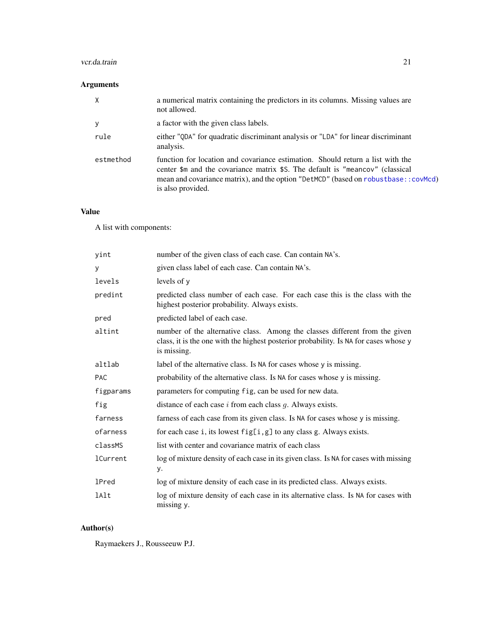# <span id="page-20-0"></span>vcr.da.train 21

# Arguments

| $\mathsf{X}$ | a numerical matrix containing the predictors in its columns. Missing values are<br>not allowed.                                                                                                                                                                            |
|--------------|----------------------------------------------------------------------------------------------------------------------------------------------------------------------------------------------------------------------------------------------------------------------------|
| У            | a factor with the given class labels.                                                                                                                                                                                                                                      |
| rule         | either "QDA" for quadratic discriminant analysis or "LDA" for linear discriminant<br>analysis.                                                                                                                                                                             |
| estmethod    | function for location and covariance estimation. Should return a list with the<br>center \$m and the covariance matrix \$S. The default is "meancov" (classical<br>mean and covariance matrix), and the option "DetMCD" (based on robustbase::covMcd)<br>is also provided. |

# Value

A list with components:

| yint            | number of the given class of each case. Can contain NA's.                                                                                                                          |
|-----------------|------------------------------------------------------------------------------------------------------------------------------------------------------------------------------------|
| y               | given class label of each case. Can contain NA's.                                                                                                                                  |
| levels          | levels of $v$                                                                                                                                                                      |
| predint         | predicted class number of each case. For each case this is the class with the<br>highest posterior probability. Always exists.                                                     |
| pred            | predicted label of each case.                                                                                                                                                      |
| altint          | number of the alternative class. Among the classes different from the given<br>class, it is the one with the highest posterior probability. Is NA for cases whose y<br>is missing. |
| altlab          | label of the alternative class. Is NA for cases whose y is missing.                                                                                                                |
| <b>PAC</b>      | probability of the alternative class. Is NA for cases whose y is missing.                                                                                                          |
| figparams       | parameters for computing fig, can be used for new data.                                                                                                                            |
| fig             | distance of each case $i$ from each class $g$ . Always exists.                                                                                                                     |
| farness         | farness of each case from its given class. Is NA for cases whose y is missing.                                                                                                     |
| ofarness        | for each case i, its lowest $fig[i, g]$ to any class g. Always exists.                                                                                                             |
| classMS         | list with center and covariance matrix of each class                                                                                                                               |
| <b>lCurrent</b> | log of mixture density of each case in its given class. Is NA for cases with missing<br>у.                                                                                         |
| <b>1Pred</b>    | log of mixture density of each case in its predicted class. Always exists.                                                                                                         |
| lAlt            | log of mixture density of each case in its alternative class. Is NA for cases with<br>missing y.                                                                                   |

# Author(s)

Raymaekers J., Rousseeuw P.J.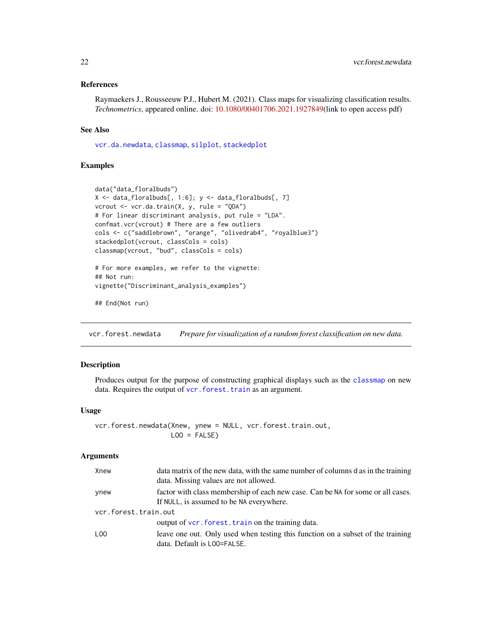# <span id="page-21-0"></span>References

Raymaekers J., Rousseeuw P.J., Hubert M. (2021). Class maps for visualizing classification results. *Technometrics*, appeared online. doi: [10.1080/00401706.2021.1927849\(](https://doi.org/10.1080/00401706.2021.1927849)link to open access pdf)

# See Also

[vcr.da.newdata](#page-17-1), [classmap](#page-1-1), [silplot](#page-14-1), [stackedplot](#page-16-1)

# Examples

```
data("data_floralbuds")
X <- data_floralbuds[, 1:6]; y <- data_floralbuds[, 7]
vcrout <- vcr.da.train(X, y, rule = "QDA")
# For linear discriminant analysis, put rule = "LDA".
confmat.vcr(vcrout) # There are a few outliers
cols <- c("saddlebrown", "orange", "olivedrab4", "royalblue3")
stackedplot(vcrout, classCols = cols)
classmap(vcrout, "bud", classCols = cols)
# For more examples, we refer to the vignette:
## Not run:
vignette("Discriminant_analysis_examples")
```

```
## End(Not run)
```
<span id="page-21-1"></span>vcr.forest.newdata *Prepare for visualization of a random forest classification on new data.*

#### Description

Produces output for the purpose of constructing graphical displays such as the [classmap](#page-1-1) on new data. Requires the output of vcr. forest. train as an argument.

# Usage

```
vcr.forest.newdata(Xnew, ynew = NULL, vcr.forest.train.out,
                   LOO = FALSE)
```
#### Arguments

| Xnew                 | data matrix of the new data, with the same number of columns d as in the training<br>data. Missing values are not allowed.  |  |
|----------------------|-----------------------------------------------------------------------------------------------------------------------------|--|
| ynew                 | factor with class membership of each new case. Can be NA for some or all cases.<br>If NULL, is assumed to be NA everywhere. |  |
| vcr.forest.train.out |                                                                                                                             |  |
|                      | output of vcr. forest. train on the training data.                                                                          |  |
| LOO                  | leave one out. Only used when testing this function on a subset of the training<br>data. Default is LOO=FALSE.              |  |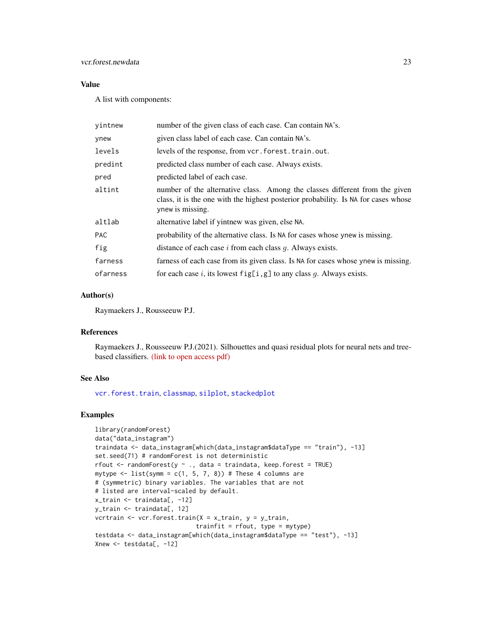# <span id="page-22-0"></span>vcr.forest.newdata 23

# Value

A list with components:

| yintnew    | number of the given class of each case. Can contain NA's.                                                                                                                             |
|------------|---------------------------------------------------------------------------------------------------------------------------------------------------------------------------------------|
| ynew       | given class label of each case. Can contain NA's.                                                                                                                                     |
| levels     | levels of the response, from vcr. forest. train. out.                                                                                                                                 |
| predint    | predicted class number of each case. Always exists.                                                                                                                                   |
| pred       | predicted label of each case.                                                                                                                                                         |
| altint     | number of the alternative class. Among the classes different from the given<br>class, it is the one with the highest posterior probability. Is NA for cases whose<br>ynew is missing. |
| altlab     | alternative label if yintnew was given, else NA.                                                                                                                                      |
| <b>PAC</b> | probability of the alternative class. Is NA for cases whose ynew is missing.                                                                                                          |
| fig        | distance of each case $i$ from each class $q$ . Always exists.                                                                                                                        |
| farness    | farness of each case from its given class. Is NA for cases whose ynew is missing.                                                                                                     |
| ofarness   | for each case i, its lowest $fig[i, g]$ to any class g. Always exists.                                                                                                                |

# Author(s)

Raymaekers J., Rousseeuw P.J.

#### References

Raymaekers J., Rousseeuw P.J.(2021). Silhouettes and quasi residual plots for neural nets and treebased classifiers. [\(link to open access pdf\)](https://arxiv.org/abs/2106.08814)

# See Also

[vcr.forest.train](#page-23-1), [classmap](#page-1-1), [silplot](#page-14-1), [stackedplot](#page-16-1)

# Examples

```
library(randomForest)
data("data_instagram")
traindata <- data_instagram[which(data_instagram$dataType == "train"), -13]
set.seed(71) # randomForest is not deterministic
rfout \leq randomForest(y \sim ., data = traindata, keep.forest = TRUE)
mytype \le list(symm = c(1, 5, 7, 8)) # These 4 columns are
# (symmetric) binary variables. The variables that are not
# listed are interval-scaled by default.
x_train <- traindata[, -12]
y_train <- traindata[, 12]
vcrtrain <- vcr.forest.train(X = x_train, y = y_train,
                            trainfit = rfout, type = mytype)
testdata <- data_instagram[which(data_instagram$dataType == "test"), -13]
Xnew <- testdata[, -12]
```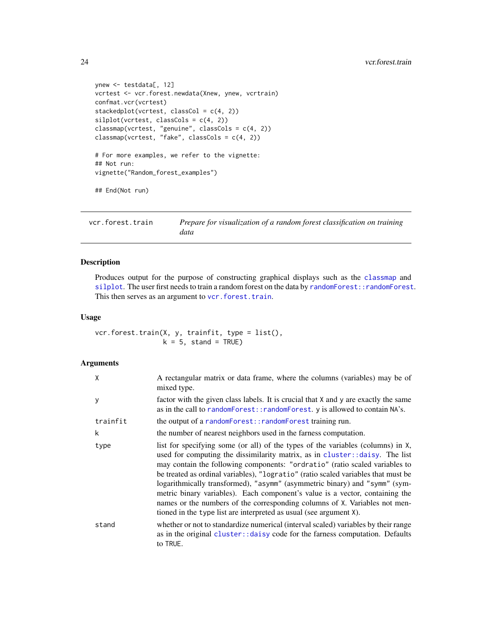```
ynew <- testdata[, 12]
vcrtest <- vcr.forest.newdata(Xnew, ynew, vcrtrain)
confmat.vcr(vcrtest)
stackedplot(vcrtest, classCol = c(4, 2))
silplot(vcret, classCols = c(4, 2))classmap(vcrtest, "genuine", classCols = c(4, 2))
classmap(vcrtest, "fake", classCols = c(4, 2))
# For more examples, we refer to the vignette:
## Not run:
vignette("Random_forest_examples")
## End(Not run)
```
<span id="page-23-1"></span>

| vcr.forest.train | Prepare for visualization of a random forest classification on training |
|------------------|-------------------------------------------------------------------------|
|                  | data                                                                    |

# Description

Produces output for the purpose of constructing graphical displays such as the [classmap](#page-1-1) and [silplot](#page-14-1). The user first needs to train a random forest on the data by randomForest:: randomForest. This then serves as an argument to [vcr.forest.train](#page-23-1).

# Usage

vcr.forest.train(X, y, trainfit, type = list(),  $k = 5$ , stand = TRUE)

# Arguments

| X        | A rectangular matrix or data frame, where the columns (variables) may be of<br>mixed type.                                                                                                                                                                                                                                                                                                                                                                                                                                                                                                                                                             |
|----------|--------------------------------------------------------------------------------------------------------------------------------------------------------------------------------------------------------------------------------------------------------------------------------------------------------------------------------------------------------------------------------------------------------------------------------------------------------------------------------------------------------------------------------------------------------------------------------------------------------------------------------------------------------|
| y        | factor with the given class labels. It is crucial that X and y are exactly the same<br>as in the call to randomForest:: randomForest. y is allowed to contain NA's.                                                                                                                                                                                                                                                                                                                                                                                                                                                                                    |
| trainfit | the output of a random Forest:: random Forest training run.                                                                                                                                                                                                                                                                                                                                                                                                                                                                                                                                                                                            |
| k        | the number of nearest neighbors used in the farness computation.                                                                                                                                                                                                                                                                                                                                                                                                                                                                                                                                                                                       |
| type     | list for specifying some (or all) of the types of the variables (columns) in X,<br>used for computing the dissimilarity matrix, as in cluster: : daisy. The list<br>may contain the following components: "ordratio" (ratio scaled variables to<br>be treated as ordinal variables), "logratio" (ratio scaled variables that must be<br>logarithmically transformed), "asymm" (asymmetric binary) and "symm" (sym-<br>metric binary variables). Each component's value is a vector, containing the<br>names or the numbers of the corresponding columns of X. Variables not men-<br>tioned in the type list are interpreted as usual (see argument X). |
| stand    | whether or not to standardize numerical (interval scaled) variables by their range<br>as in the original cluster: : daisy code for the farness computation. Defaults<br>to TRUE.                                                                                                                                                                                                                                                                                                                                                                                                                                                                       |

<span id="page-23-0"></span>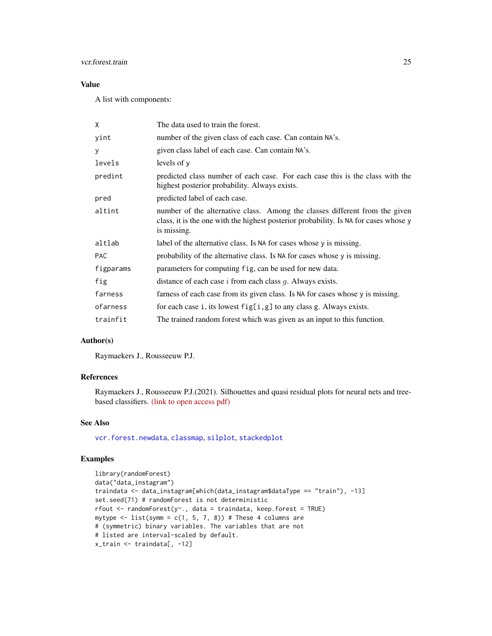# <span id="page-24-0"></span>vcr.forest.train 25

# Value

A list with components:

| X          | The data used to train the forest.                                                                                                                                                 |
|------------|------------------------------------------------------------------------------------------------------------------------------------------------------------------------------------|
| yint       | number of the given class of each case. Can contain NA's.                                                                                                                          |
| У          | given class label of each case. Can contain NA's.                                                                                                                                  |
| levels     | levels of y                                                                                                                                                                        |
| predint    | predicted class number of each case. For each case this is the class with the<br>highest posterior probability. Always exists.                                                     |
| pred       | predicted label of each case.                                                                                                                                                      |
| altint     | number of the alternative class. Among the classes different from the given<br>class, it is the one with the highest posterior probability. Is NA for cases whose y<br>is missing. |
| altlab     | label of the alternative class. Is NA for cases whose y is missing.                                                                                                                |
| <b>PAC</b> | probability of the alternative class. Is NA for cases whose y is missing.                                                                                                          |
| figparams  | parameters for computing fig, can be used for new data.                                                                                                                            |
| fig        | distance of each case $i$ from each class $g$ . Always exists.                                                                                                                     |
| farness    | farness of each case from its given class. Is NA for cases whose y is missing.                                                                                                     |
| ofarness   | for each case i, its lowest $fig[i,g]$ to any class g. Always exists.                                                                                                              |
| trainfit   | The trained random forest which was given as an input to this function.                                                                                                            |

# Author(s)

Raymaekers J., Rousseeuw P.J.

# References

Raymaekers J., Rousseeuw P.J.(2021). Silhouettes and quasi residual plots for neural nets and treebased classifiers. [\(link to open access pdf\)](https://arxiv.org/abs/2106.08814)

# See Also

[vcr.forest.newdata](#page-21-1), [classmap](#page-1-1), [silplot](#page-14-1), [stackedplot](#page-16-1)

# Examples

```
library(randomForest)
data("data_instagram")
traindata <- data_instagram[which(data_instagram$dataType == "train"), -13]
set.seed(71) # randomForest is not deterministic
rfout <- randomForest(y~., data = traindata, keep.forest = TRUE)
mytype \le list(symm = c(1, 5, 7, 8)) # These 4 columns are
# (symmetric) binary variables. The variables that are not
# listed are interval-scaled by default.
x_train <- traindata[, -12]
```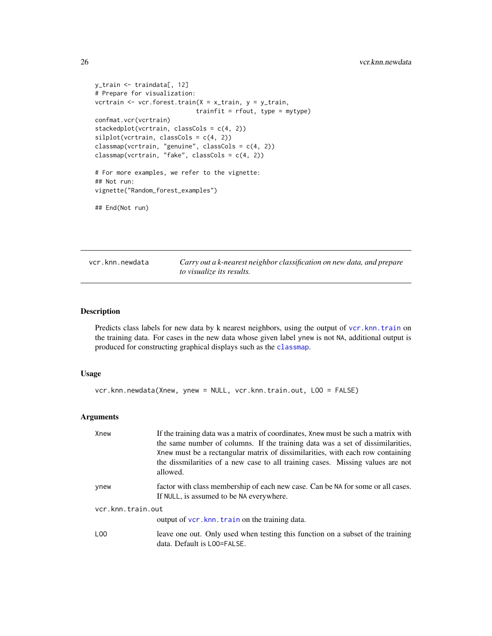```
y_train <- traindata[, 12]
# Prepare for visualization:
vcrtrain <- vcr.forest.train(X = x_train, y = y_train,
                            trainfit = rfout, type = mytype)
confmat.vcr(vcrtrain)
stackedplot(vcrtrain, classCols = c(4, 2))
silplot(vcrtrain, classCols = c(4, 2))classmap(vcrtrain, "genuine", classCols = c(4, 2))
classmap(vcrtrain, "fake", classCols = c(4, 2))
# For more examples, we refer to the vignette:
## Not run:
vignette("Random_forest_examples")
## End(Not run)
```
<span id="page-25-1"></span>vcr.knn.newdata *Carry out a k-nearest neighbor classification on new data, and prepare to visualize its results.*

# Description

Predicts class labels for new data by k nearest neighbors, using the output of [vcr.knn.train](#page-27-1) on the training data. For cases in the new data whose given label ynew is not NA, additional output is produced for constructing graphical displays such as the [classmap](#page-1-1).

#### Usage

```
vcr.knn.newdata(Xnew, ynew = NULL, vcr.knn.train.out, LOO = FALSE)
```
# Arguments

| Xnew              | If the training data was a matrix of coordinates, Xnew must be such a matrix with<br>the same number of columns. If the training data was a set of dissimilarities,<br>Xnew must be a rectangular matrix of dissimilarities, with each row containing<br>the dissmilarities of a new case to all training cases. Missing values are not<br>allowed. |  |
|-------------------|-----------------------------------------------------------------------------------------------------------------------------------------------------------------------------------------------------------------------------------------------------------------------------------------------------------------------------------------------------|--|
| ynew              | factor with class membership of each new case. Can be NA for some or all cases.<br>If NULL, is assumed to be NA everywhere.                                                                                                                                                                                                                         |  |
| vcr.knn.train.out |                                                                                                                                                                                                                                                                                                                                                     |  |
|                   | output of vcr. knn. train on the training data.                                                                                                                                                                                                                                                                                                     |  |
| L <sub>00</sub>   | leave one out. Only used when testing this function on a subset of the training<br>data. Default is LOO=FALSE.                                                                                                                                                                                                                                      |  |

<span id="page-25-0"></span>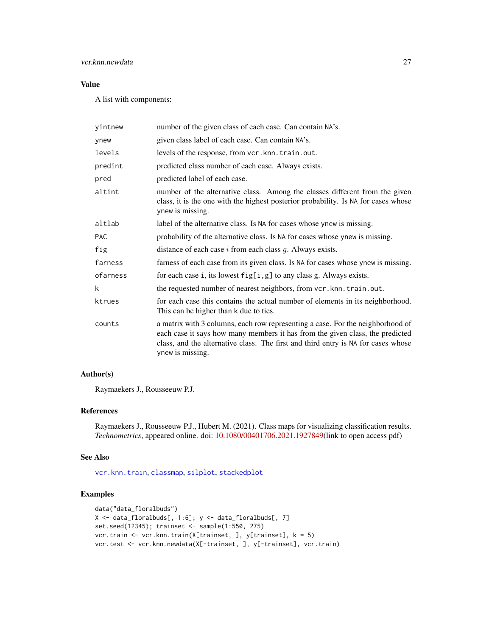# <span id="page-26-0"></span>vcr.knn.newdata 27

# Value

A list with components:

| yintnew    | number of the given class of each case. Can contain NA's.                                                                                                                                                                                                                |
|------------|--------------------------------------------------------------------------------------------------------------------------------------------------------------------------------------------------------------------------------------------------------------------------|
| ynew       | given class label of each case. Can contain NA's.                                                                                                                                                                                                                        |
| levels     | levels of the response, from vcr.knn.train.out.                                                                                                                                                                                                                          |
| predint    | predicted class number of each case. Always exists.                                                                                                                                                                                                                      |
| pred       | predicted label of each case.                                                                                                                                                                                                                                            |
| altint     | number of the alternative class. Among the classes different from the given<br>class, it is the one with the highest posterior probability. Is NA for cases whose<br>ynew is missing.                                                                                    |
| altlab     | label of the alternative class. Is NA for cases whose ynew is missing.                                                                                                                                                                                                   |
| <b>PAC</b> | probability of the alternative class. Is NA for cases whose ynew is missing.                                                                                                                                                                                             |
| fig        | distance of each case $i$ from each class $g$ . Always exists.                                                                                                                                                                                                           |
| farness    | farness of each case from its given class. Is NA for cases whose ynew is missing.                                                                                                                                                                                        |
| ofarness   | for each case i, its lowest $fig[i, g]$ to any class g. Always exists.                                                                                                                                                                                                   |
| k          | the requested number of nearest neighbors, from vcr.knn.train.out.                                                                                                                                                                                                       |
| ktrues     | for each case this contains the actual number of elements in its neighborhood.<br>This can be higher than k due to ties.                                                                                                                                                 |
| counts     | a matrix with 3 columns, each row representing a case. For the neighborhood of<br>each case it says how many members it has from the given class, the predicted<br>class, and the alternative class. The first and third entry is NA for cases whose<br>ynew is missing. |

# Author(s)

Raymaekers J., Rousseeuw P.J.

# References

Raymaekers J., Rousseeuw P.J., Hubert M. (2021). Class maps for visualizing classification results. *Technometrics*, appeared online. doi: [10.1080/00401706.2021.1927849\(](https://doi.org/10.1080/00401706.2021.1927849)link to open access pdf)

#### See Also

[vcr.knn.train](#page-27-1), [classmap](#page-1-1), [silplot](#page-14-1), [stackedplot](#page-16-1)

# Examples

```
data("data_floralbuds")
X \leftarrow data_floralbuds[, 1:6]; y \leftarrow data_floralbuds[, 7]
set.seed(12345); trainset <- sample(1:550, 275)
vcr.train <- vcr.knn.train(X[trainset, ], y[trainset], k = 5)
vcr.test <- vcr.knn.newdata(X[-trainset, ], y[-trainset], vcr.train)
```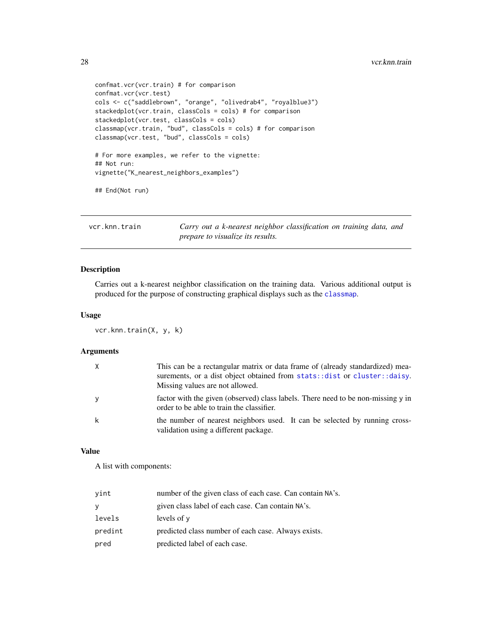```
confmat.vcr(vcr.train) # for comparison
confmat.vcr(vcr.test)
cols <- c("saddlebrown", "orange", "olivedrab4", "royalblue3")
stackedplot(vcr.train, classCols = cols) # for comparison
stackedplot(vcr.test, classCols = cols)
classmap(vcr.train, "bud", classCols = cols) # for comparison
classmap(vcr.test, "bud", classCols = cols)
# For more examples, we refer to the vignette:
## Not run:
vignette("K_nearest_neighbors_examples")
## End(Not run)
```
<span id="page-27-1"></span>vcr.knn.train *Carry out a k-nearest neighbor classification on training data, and prepare to visualize its results.*

# Description

Carries out a k-nearest neighbor classification on the training data. Various additional output is produced for the purpose of constructing graphical displays such as the [classmap](#page-1-1).

#### Usage

```
vcr.knn.train(X, y, k)
```
#### Arguments

|   | This can be a rectangular matrix or data frame of (already standardized) mea-<br>surements, or a dist object obtained from stats: : dist or cluster: : daisy.<br>Missing values are not allowed. |
|---|--------------------------------------------------------------------------------------------------------------------------------------------------------------------------------------------------|
| y | factor with the given (observed) class labels. There need to be non-missing y in<br>order to be able to train the classifier.                                                                    |
| k | the number of nearest neighbors used. It can be selected by running cross-<br>validation using a different package.                                                                              |

#### Value

A list with components:

| vint    | number of the given class of each case. Can contain NA's. |
|---------|-----------------------------------------------------------|
|         | given class label of each case. Can contain NA's.         |
| levels  | levels of y                                               |
| predint | predicted class number of each case. Always exists.       |
| pred    | predicted label of each case.                             |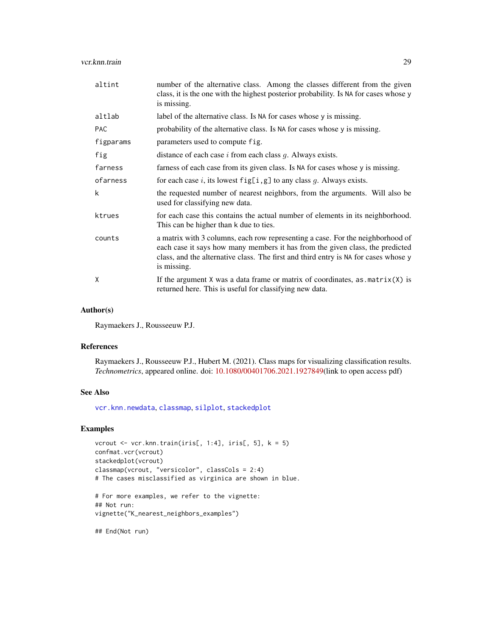#### <span id="page-28-0"></span>vcr.knn.train 29

| altint     | number of the alternative class. Among the classes different from the given<br>class, it is the one with the highest posterior probability. Is NA for cases whose y<br>is missing.                                                                                    |
|------------|-----------------------------------------------------------------------------------------------------------------------------------------------------------------------------------------------------------------------------------------------------------------------|
| altlab     | label of the alternative class. Is NA for cases whose y is missing.                                                                                                                                                                                                   |
| <b>PAC</b> | probability of the alternative class. Is NA for cases whose y is missing.                                                                                                                                                                                             |
| figparams  | parameters used to compute fig.                                                                                                                                                                                                                                       |
| fig        | distance of each case $i$ from each class $g$ . Always exists.                                                                                                                                                                                                        |
| farness    | farness of each case from its given class. Is NA for cases whose y is missing.                                                                                                                                                                                        |
| ofarness   | for each case i, its lowest $fig[i, g]$ to any class g. Always exists.                                                                                                                                                                                                |
| k          | the requested number of nearest neighbors, from the arguments. Will also be<br>used for classifying new data.                                                                                                                                                         |
| ktrues     | for each case this contains the actual number of elements in its neighborhood.<br>This can be higher than k due to ties.                                                                                                                                              |
| counts     | a matrix with 3 columns, each row representing a case. For the neighborhood of<br>each case it says how many members it has from the given class, the predicted<br>class, and the alternative class. The first and third entry is NA for cases whose y<br>is missing. |
| X          | If the argument $X$ was a data frame or matrix of coordinates, as $matrix(X)$ is<br>returned here. This is useful for classifying new data.                                                                                                                           |

#### Author(s)

Raymaekers J., Rousseeuw P.J.

# References

Raymaekers J., Rousseeuw P.J., Hubert M. (2021). Class maps for visualizing classification results. *Technometrics*, appeared online. doi: [10.1080/00401706.2021.1927849\(](https://doi.org/10.1080/00401706.2021.1927849)link to open access pdf)

# See Also

[vcr.knn.newdata](#page-25-1), [classmap](#page-1-1), [silplot](#page-14-1), [stackedplot](#page-16-1)

# Examples

```
vcrout \leq vcr.knn.train(iris[, 1:4], iris[, 5], k = 5)
confmat.vcr(vcrout)
stackedplot(vcrout)
classmap(vcrout, "versicolor", classCols = 2:4)
# The cases misclassified as virginica are shown in blue.
# For more examples, we refer to the vignette:
## Not run:
```

```
vignette("K_nearest_neighbors_examples")
```
## End(Not run)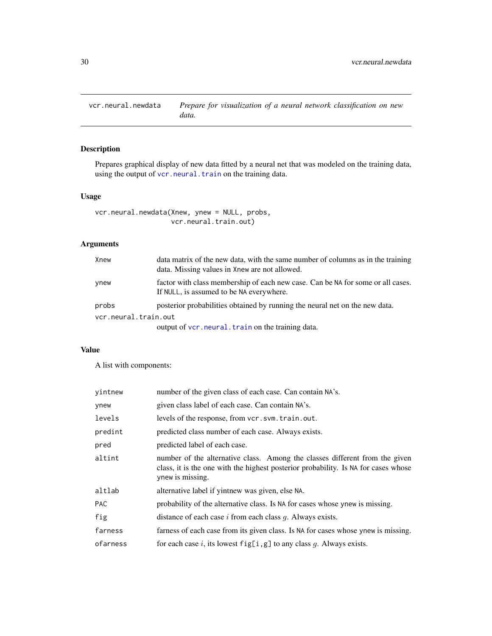<span id="page-29-1"></span><span id="page-29-0"></span>vcr.neural.newdata *Prepare for visualization of a neural network classification on new data.*

# Description

Prepares graphical display of new data fitted by a neural net that was modeled on the training data, using the output of [vcr.neural.train](#page-30-1) on the training data.

# Usage

```
vcr.neural.newdata(Xnew, ynew = NULL, probs,
                   vcr.neural.train.out)
```
# Arguments

| Xnew                 | data matrix of the new data, with the same number of columns as in the training<br>data. Missing values in Xnew are not allowed. |
|----------------------|----------------------------------------------------------------------------------------------------------------------------------|
| ynew                 | factor with class membership of each new case. Can be NA for some or all cases.<br>If NULL, is assumed to be NA everywhere.      |
| probs                | posterior probabilities obtained by running the neural net on the new data.                                                      |
| vcr.neural.train.out |                                                                                                                                  |
|                      | output of vcr. neural. train on the training data.                                                                               |

# Value

A list with components:

| vintnew    | number of the given class of each case. Can contain NA's.                                                                                                                             |
|------------|---------------------------------------------------------------------------------------------------------------------------------------------------------------------------------------|
| ynew       | given class label of each case. Can contain NA's.                                                                                                                                     |
| levels     | levels of the response, from vcr.svm.train.out.                                                                                                                                       |
| predint    | predicted class number of each case. Always exists.                                                                                                                                   |
| pred       | predicted label of each case.                                                                                                                                                         |
| altint     | number of the alternative class. Among the classes different from the given<br>class, it is the one with the highest posterior probability. Is NA for cases whose<br>ynew is missing. |
| altlab     | alternative label if yintnew was given, else NA.                                                                                                                                      |
| <b>PAC</b> | probability of the alternative class. Is NA for cases whose ynew is missing.                                                                                                          |
| fig        | distance of each case $i$ from each class $q$ . Always exists.                                                                                                                        |
| farness    | farness of each case from its given class. Is NA for cases whose ynew is missing.                                                                                                     |
| ofarness   | for each case i, its lowest $fig[i, g]$ to any class g. Always exists.                                                                                                                |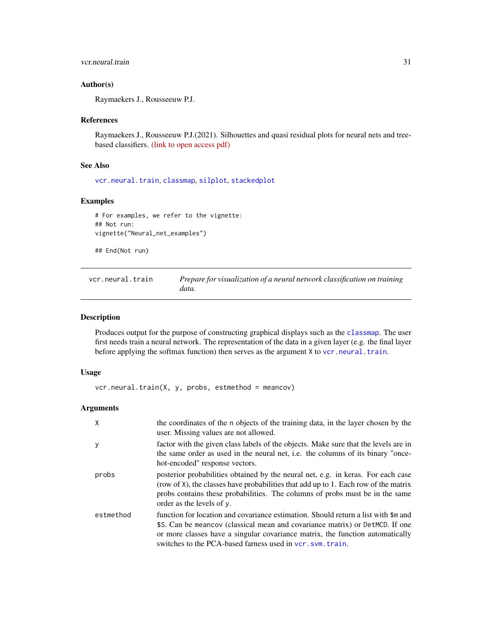# <span id="page-30-0"></span>vcr.neural.train 31

# Author(s)

Raymaekers J., Rousseeuw P.J.

# References

Raymaekers J., Rousseeuw P.J.(2021). Silhouettes and quasi residual plots for neural nets and treebased classifiers. [\(link to open access pdf\)](https://arxiv.org/abs/2106.08814)

#### See Also

[vcr.neural.train](#page-30-1), [classmap](#page-1-1), [silplot](#page-14-1), [stackedplot](#page-16-1)

#### Examples

```
# For examples, we refer to the vignette:
## Not run:
vignette("Neural_net_examples")
```
## End(Not run)

<span id="page-30-1"></span>vcr.neural.train *Prepare for visualization of a neural network classification on training data.*

## Description

Produces output for the purpose of constructing graphical displays such as the [classmap](#page-1-1). The user first needs train a neural network. The representation of the data in a given layer (e.g. the final layer before applying the softmax function) then serves as the argument  $X$  to [vcr.neural.train](#page-30-1).

# Usage

 $vcr.neural.train(X, y, probes, estimated = meancov)$ 

# Arguments

| $\times$  | the coordinates of the n objects of the training data, in the layer chosen by the<br>user. Missing values are not allowed.                                                                                                                                                                                         |
|-----------|--------------------------------------------------------------------------------------------------------------------------------------------------------------------------------------------------------------------------------------------------------------------------------------------------------------------|
| y         | factor with the given class labels of the objects. Make sure that the levels are in<br>the same order as used in the neural net, i.e. the columns of its binary "once-<br>hot-encoded" response vectors.                                                                                                           |
| probs     | posterior probabilities obtained by the neural net, e.g. in keras. For each case<br>(row of X), the classes have probabilities that add up to 1. Each row of the matrix<br>probs contains these probabilities. The columns of probs must be in the same<br>order as the levels of y.                               |
| estmethod | function for location and covariance estimation. Should return a list with \$m and<br>\$S. Can be mean cov (classical mean and covariance matrix) or DetMCD. If one<br>or more classes have a singular covariance matrix, the function automatically<br>switches to the PCA-based farness used in vcr. sym. train. |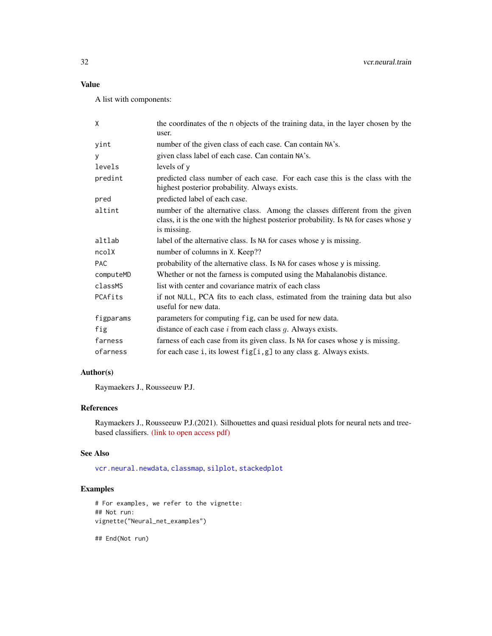# <span id="page-31-0"></span>Value

A list with components:

| X          | the coordinates of the n objects of the training data, in the layer chosen by the<br>user.                                                                                         |
|------------|------------------------------------------------------------------------------------------------------------------------------------------------------------------------------------|
| yint       | number of the given class of each case. Can contain NA's.                                                                                                                          |
| У          | given class label of each case. Can contain NA's.                                                                                                                                  |
| levels     | levels of $v$                                                                                                                                                                      |
| predint    | predicted class number of each case. For each case this is the class with the<br>highest posterior probability. Always exists.                                                     |
| pred       | predicted label of each case.                                                                                                                                                      |
| altint     | number of the alternative class. Among the classes different from the given<br>class, it is the one with the highest posterior probability. Is NA for cases whose y<br>is missing. |
| altlab     | label of the alternative class. Is NA for cases whose y is missing.                                                                                                                |
| ncolX      | number of columns in X. Keep??                                                                                                                                                     |
| <b>PAC</b> | probability of the alternative class. Is NA for cases whose y is missing.                                                                                                          |
| computeMD  | Whether or not the farness is computed using the Mahalanobis distance.                                                                                                             |
| classMS    | list with center and covariance matrix of each class                                                                                                                               |
| PCAfits    | if not NULL, PCA fits to each class, estimated from the training data but also<br>useful for new data.                                                                             |
| figparams  | parameters for computing fig, can be used for new data.                                                                                                                            |
| fig        | distance of each case $i$ from each class $g$ . Always exists.                                                                                                                     |
| farness    | farness of each case from its given class. Is NA for cases whose y is missing.                                                                                                     |
| ofarness   | for each case i, its lowest $fig[i, g]$ to any class g. Always exists.                                                                                                             |

# Author(s)

Raymaekers J., Rousseeuw P.J.

# References

Raymaekers J., Rousseeuw P.J.(2021). Silhouettes and quasi residual plots for neural nets and treebased classifiers. [\(link to open access pdf\)](https://arxiv.org/abs/2106.08814)

#### See Also

[vcr.neural.newdata](#page-29-1), [classmap](#page-1-1), [silplot](#page-14-1), [stackedplot](#page-16-1)

# Examples

```
# For examples, we refer to the vignette:
## Not run:
vignette("Neural_net_examples")
```
## End(Not run)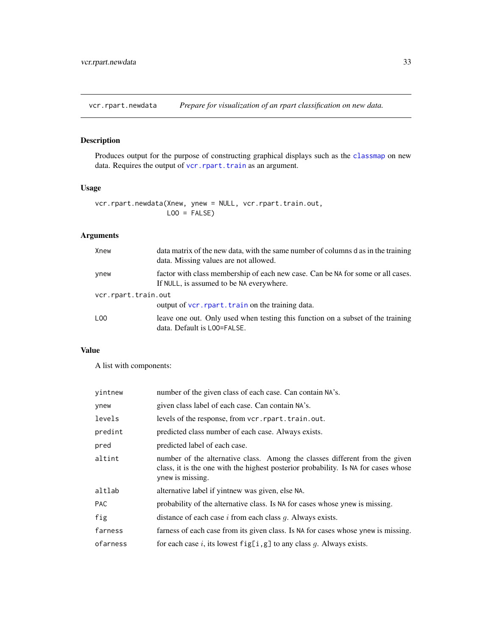<span id="page-32-1"></span><span id="page-32-0"></span>vcr.rpart.newdata *Prepare for visualization of an rpart classification on new data.*

# Description

Produces output for the purpose of constructing graphical displays such as the [classmap](#page-1-1) on new data. Requires the output of [vcr.rpart.train](#page-33-1) as an argument.

# Usage

```
vcr.rpart.newdata(Xnew, ynew = NULL, vcr.rpart.train.out,
                 LOO = FALSE)
```
# Arguments

| Xnew                | data matrix of the new data, with the same number of columns d as in the training<br>data. Missing values are not allowed.  |  |
|---------------------|-----------------------------------------------------------------------------------------------------------------------------|--|
| ynew                | factor with class membership of each new case. Can be NA for some or all cases.<br>If NULL, is assumed to be NA everywhere. |  |
| vcr.rpart.train.out |                                                                                                                             |  |
|                     | output of vcr. rpart. train on the training data.                                                                           |  |
| L <sub>00</sub>     | leave one out. Only used when testing this function on a subset of the training<br>data. Default is LOO=FALSE.              |  |

# Value

A list with components:

| vintnew    | number of the given class of each case. Can contain NA's.                                                                                                                             |
|------------|---------------------------------------------------------------------------------------------------------------------------------------------------------------------------------------|
| ynew       | given class label of each case. Can contain NA's.                                                                                                                                     |
| levels     | levels of the response, from vcr. rpart. train. out.                                                                                                                                  |
| predint    | predicted class number of each case. Always exists.                                                                                                                                   |
| pred       | predicted label of each case.                                                                                                                                                         |
| altint     | number of the alternative class. Among the classes different from the given<br>class, it is the one with the highest posterior probability. Is NA for cases whose<br>ynew is missing. |
| altlab     | alternative label if yintnew was given, else NA.                                                                                                                                      |
| <b>PAC</b> | probability of the alternative class. Is NA for cases whose ynew is missing.                                                                                                          |
| fig        | distance of each case $i$ from each class $q$ . Always exists.                                                                                                                        |
| farness    | farness of each case from its given class. Is NA for cases whose ynew is missing.                                                                                                     |
| ofarness   | for each case i, its lowest $fig[i, g]$ to any class g. Always exists.                                                                                                                |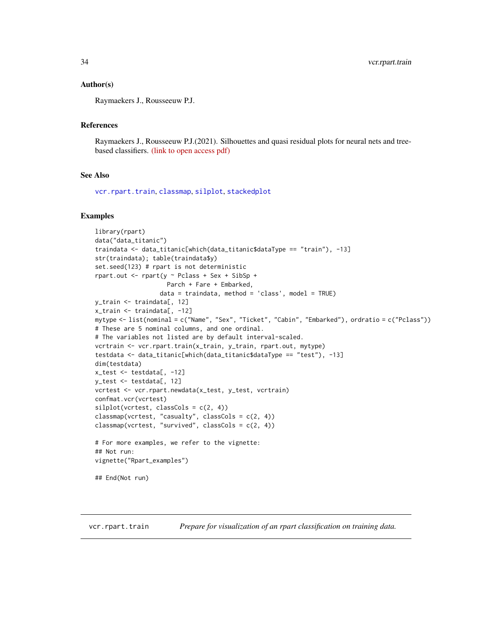#### <span id="page-33-0"></span>Author(s)

Raymaekers J., Rousseeuw P.J.

#### References

Raymaekers J., Rousseeuw P.J.(2021). Silhouettes and quasi residual plots for neural nets and treebased classifiers. [\(link to open access pdf\)](https://arxiv.org/abs/2106.08814)

#### See Also

[vcr.rpart.train](#page-33-1), [classmap](#page-1-1), [silplot](#page-14-1), [stackedplot](#page-16-1)

#### Examples

```
library(rpart)
data("data_titanic")
traindata <- data_titanic[which(data_titanic$dataType == "train"), -13]
str(traindata); table(traindata$y)
set.seed(123) # rpart is not deterministic
rpart.out <- rpart(y ~ Pclass + Sex + SibSp +
                    Parch + Fare + Embarked,
                  data = traindata, method = 'class', model = TRUE)
y_train <- traindata[, 12]
x_train <- traindata[, -12]
mytype <- list(nominal = c("Name", "Sex", "Ticket", "Cabin", "Embarked"), ordratio = c("Pclass"))
# These are 5 nominal columns, and one ordinal.
# The variables not listed are by default interval-scaled.
vcrtrain <- vcr.rpart.train(x_train, y_train, rpart.out, mytype)
testdata <- data_titanic[which(data_titanic$dataType == "test"), -13]
dim(testdata)
x_test <- testdata[, -12]
y_test <- testdata[, 12]
vcrtest <- vcr.rpart.newdata(x_test, y_test, vcrtrain)
confmat.vcr(vcrtest)
silplot(vcret, classCols = c(2, 4))classmap(vcrtest, "casualty", classCols = c(2, 4))
classmap(vcrtest, "survived", classCols = c(2, 4))
# For more examples, we refer to the vignette:
## Not run:
vignette("Rpart_examples")
## End(Not run)
```
<span id="page-33-1"></span>vcr.rpart.train *Prepare for visualization of an rpart classification on training data.*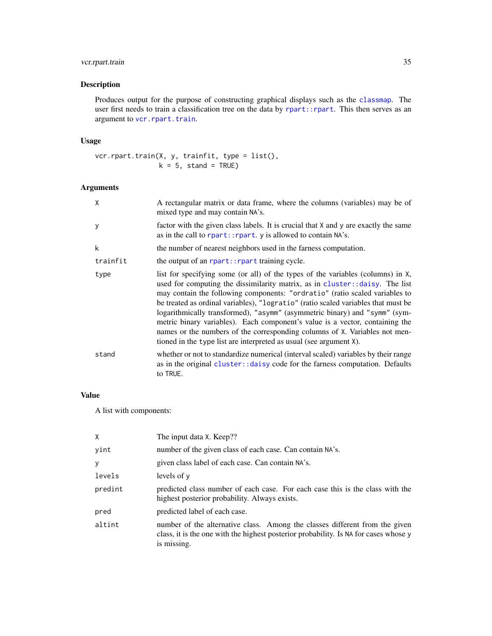# <span id="page-34-0"></span>vcr.rpart.train 35

# Description

Produces output for the purpose of constructing graphical displays such as the [classmap](#page-1-1). The user first needs to train a classification tree on the data by [rpart::rpart](#page-0-0). This then serves as an argument to [vcr.rpart.train](#page-33-1).

# Usage

vcr.rpart.train(X, y, trainfit, type = list(),  $k = 5$ , stand = TRUE)

# Arguments

| X        | A rectangular matrix or data frame, where the columns (variables) may be of<br>mixed type and may contain NA's.                                                                                                                                                                                                                                                                                                                                                                                                                                                                                                                                       |
|----------|-------------------------------------------------------------------------------------------------------------------------------------------------------------------------------------------------------------------------------------------------------------------------------------------------------------------------------------------------------------------------------------------------------------------------------------------------------------------------------------------------------------------------------------------------------------------------------------------------------------------------------------------------------|
| y        | factor with the given class labels. It is crucial that X and y are exactly the same<br>as in the call to rpart:: rpart. y is allowed to contain NA's.                                                                                                                                                                                                                                                                                                                                                                                                                                                                                                 |
| k        | the number of nearest neighbors used in the farness computation.                                                                                                                                                                                                                                                                                                                                                                                                                                                                                                                                                                                      |
| trainfit | the output of an report:: report training cycle.                                                                                                                                                                                                                                                                                                                                                                                                                                                                                                                                                                                                      |
| type     | list for specifying some (or all) of the types of the variables (columns) in X,<br>used for computing the dissimilarity matrix, as in cluster:: daisy. The list<br>may contain the following components: "ordratio" (ratio scaled variables to<br>be treated as ordinal variables), "logratio" (ratio scaled variables that must be<br>logarithmically transformed), "asymm" (asymmetric binary) and "symm" (sym-<br>metric binary variables). Each component's value is a vector, containing the<br>names or the numbers of the corresponding columns of X. Variables not men-<br>tioned in the type list are interpreted as usual (see argument X). |
| stand    | whether or not to standardize numerical (interval scaled) variables by their range<br>as in the original cluster:: daisy code for the farness computation. Defaults<br>to TRUE.                                                                                                                                                                                                                                                                                                                                                                                                                                                                       |

# Value

A list with components:

| X       | The input data X. Keep??                                                                                                                                                           |
|---------|------------------------------------------------------------------------------------------------------------------------------------------------------------------------------------|
| yint    | number of the given class of each case. Can contain NA's.                                                                                                                          |
| У       | given class label of each case. Can contain NA's.                                                                                                                                  |
| levels  | levels of y                                                                                                                                                                        |
| predint | predicted class number of each case. For each case this is the class with the<br>highest posterior probability. Always exists.                                                     |
| pred    | predicted label of each case.                                                                                                                                                      |
| altint  | number of the alternative class. Among the classes different from the given<br>class, it is the one with the highest posterior probability. Is NA for cases whose y<br>is missing. |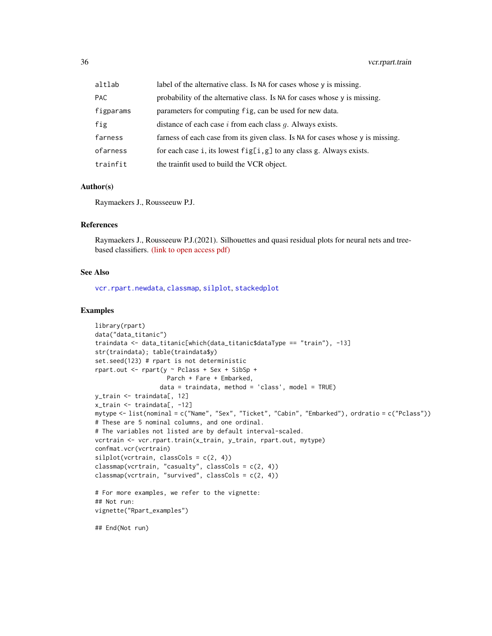<span id="page-35-0"></span>

| altlab     | label of the alternative class. Is NA for cases whose y is missing.            |
|------------|--------------------------------------------------------------------------------|
| <b>PAC</b> | probability of the alternative class. Is NA for cases whose y is missing.      |
| figparams  | parameters for computing fig, can be used for new data.                        |
| fig        | distance of each case $i$ from each class $q$ . Always exists.                 |
| farness    | farness of each case from its given class. Is NA for cases whose y is missing. |
| ofarness   | for each case i, its lowest $fig[i, g]$ to any class g. Always exists.         |
| trainfit   | the trainfit used to build the VCR object.                                     |

#### Author(s)

Raymaekers J., Rousseeuw P.J.

# References

Raymaekers J., Rousseeuw P.J.(2021). Silhouettes and quasi residual plots for neural nets and treebased classifiers. [\(link to open access pdf\)](https://arxiv.org/abs/2106.08814)

#### See Also

[vcr.rpart.newdata](#page-32-1), [classmap](#page-1-1), [silplot](#page-14-1), [stackedplot](#page-16-1)

# Examples

```
library(rpart)
data("data_titanic")
traindata <- data_titanic[which(data_titanic$dataType == "train"), -13]
str(traindata); table(traindata$y)
set.seed(123) # rpart is not deterministic
rpart.out <- rpart(y ~ Pclass + Sex + SibSp +
                    Parch + Fare + Embarked,
                  data = traindata, method = 'class', model = TRUE)y_train <- traindata[, 12]
x_train <- traindata[, -12]
mytype <- list(nominal = c("Name", "Sex", "Ticket", "Cabin", "Embarked"), ordratio = c("Pclass"))
# These are 5 nominal columns, and one ordinal.
# The variables not listed are by default interval-scaled.
vcrtrain <- vcr.rpart.train(x_train, y_train, rpart.out, mytype)
confmat.vcr(vcrtrain)
silplot(vcrtrain, classCols = c(2, 4))classmap(vcrtrain, "casualty", classCols = c(2, 4))
classmap(vcrtrain, "survived", classCols = c(2, 4))
# For more examples, we refer to the vignette:
## Not run:
vignette("Rpart_examples")
## End(Not run)
```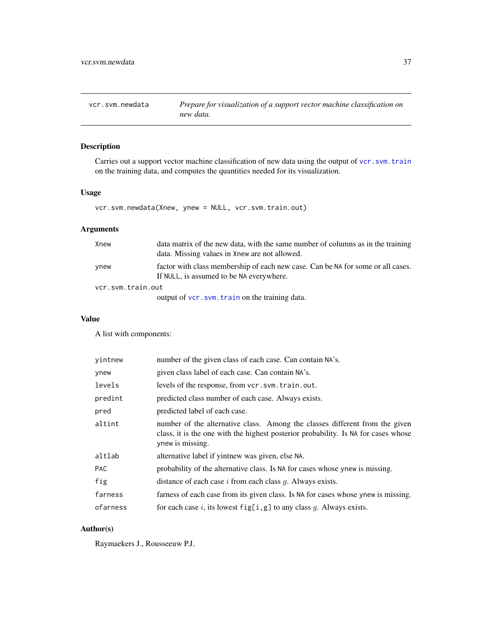<span id="page-36-1"></span><span id="page-36-0"></span>vcr.svm.newdata *Prepare for visualization of a support vector machine classification on new data.*

# Description

Carries out a support vector machine classification of new data using the output of [vcr.svm.train](#page-37-1) on the training data, and computes the quantities needed for its visualization.

# Usage

vcr.svm.newdata(Xnew, ynew = NULL, vcr.svm.train.out)

# Arguments

| Xnew              | data matrix of the new data, with the same number of columns as in the training<br>data. Missing values in Xnew are not allowed. |  |
|-------------------|----------------------------------------------------------------------------------------------------------------------------------|--|
| ynew              | factor with class membership of each new case. Can be NA for some or all cases.<br>If NULL, is assumed to be NA everywhere.      |  |
| vcr.svm.train.out |                                                                                                                                  |  |
|                   | output of vcr.svm.train on the training data.                                                                                    |  |

# Value

A list with components:

| number of the given class of each case. Can contain NA's.                                                                                                                             |
|---------------------------------------------------------------------------------------------------------------------------------------------------------------------------------------|
| given class label of each case. Can contain NA's.                                                                                                                                     |
| levels of the response, from vcr.svm.train.out.                                                                                                                                       |
| predicted class number of each case. Always exists.                                                                                                                                   |
| predicted label of each case.                                                                                                                                                         |
| number of the alternative class. Among the classes different from the given<br>class, it is the one with the highest posterior probability. Is NA for cases whose<br>ynew is missing. |
| alternative label if yintnew was given, else NA.                                                                                                                                      |
| probability of the alternative class. Is NA for cases whose ynew is missing.                                                                                                          |
| distance of each case $i$ from each class $g$ . Always exists.                                                                                                                        |
| farness of each case from its given class. Is NA for cases whose ynew is missing.                                                                                                     |
| for each case i, its lowest $fig[i, g]$ to any class g. Always exists.                                                                                                                |
|                                                                                                                                                                                       |

# Author(s)

Raymaekers J., Rousseeuw P.J.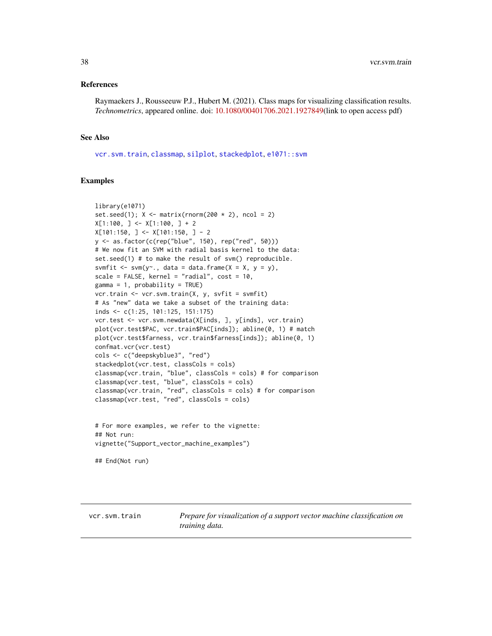#### <span id="page-37-0"></span>References

Raymaekers J., Rousseeuw P.J., Hubert M. (2021). Class maps for visualizing classification results. *Technometrics*, appeared online. doi: [10.1080/00401706.2021.1927849\(](https://doi.org/10.1080/00401706.2021.1927849)link to open access pdf)

#### See Also

[vcr.svm.train](#page-37-1), [classmap](#page-1-1), [silplot](#page-14-1), [stackedplot](#page-16-1), [e1071::svm](#page-0-0)

# Examples

```
library(e1071)
set.seed(1); X \leq -\text{matrix}(rnorm(200 \times 2), ncol = 2)X[1:100, ] \leftarrow X[1:100, ] + 2X[101:150, ] < X[101:150, ] - 2y <- as.factor(c(rep("blue", 150), rep("red", 50)))
# We now fit an SVM with radial basis kernel to the data:
set.seed(1) # to make the result of svm() reproducible.
svmfit \leq svm(y\leq., data = data.frame(X = X, y = y),
scale = FALSE, kernel = "radial", cost = 10,
gamma = 1, probability = TRUE)
vcr.train <- vcr.svm.train(X, y, svfit = svmfit)
# As "new" data we take a subset of the training data:
inds <- c(1:25, 101:125, 151:175)
vcr.test <- vcr.svm.newdata(X[inds, ], y[inds], vcr.train)
plot(vcr.test$PAC, vcr.train$PAC[inds]); abline(0, 1) # match
plot(vcr.test$farness, vcr.train$farness[inds]); abline(0, 1)
confmat.vcr(vcr.test)
cols <- c("deepskyblue3", "red")
stackedplot(vcr.test, classCols = cols)
classmap(vcr.train, "blue", classCols = cols) # for comparison
classmap(vcr.test, "blue", classCols = cols)
classmap(vcr.train, "red", classCols = cols) # for comparison
classmap(vcr.test, "red", classCols = cols)
```

```
# For more examples, we refer to the vignette:
## Not run:
vignette("Support_vector_machine_examples")
```
## End(Not run)

<span id="page-37-1"></span>vcr.svm.train *Prepare for visualization of a support vector machine classification on training data.*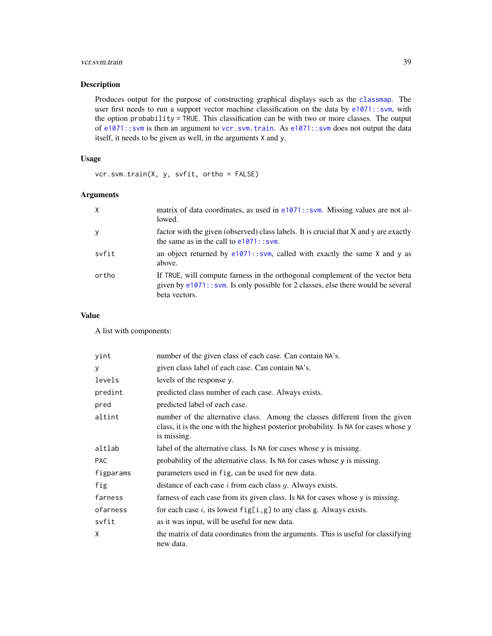# <span id="page-38-0"></span>vcr.svm.train 39

# Description

Produces output for the purpose of constructing graphical displays such as the [classmap](#page-1-1). The user first needs to run a support vector machine classification on the data by [e1071::svm](#page-0-0), with the option probability = TRUE. This classification can be with two or more classes. The output of e1071:: svm is then an argument to [vcr.svm.train](#page-37-1). As e1071:: svm does not output the data itself, it needs to be given as well, in the arguments X and y.

# Usage

vcr.svm.train(X, y, svfit, ortho = FALSE)

# Arguments

| $\times$ | matrix of data coordinates, as used in $e1071$ : svm. Missing values are not al-<br>lowed.                                                                                               |
|----------|------------------------------------------------------------------------------------------------------------------------------------------------------------------------------------------|
| y        | factor with the given (observed) class labels. It is crucial that X and y are exactly<br>the same as in the call to $e1071$ : svm.                                                       |
| svfit    | an object returned by $e1071$ :: svm, called with exactly the same X and y as<br>above.                                                                                                  |
| ortho    | If TRUE, will compute farness in the orthogonal complement of the vector beta<br>given by $e1071$ : $svm$ . Is only possible for 2 classes, else there would be several<br>beta vectors. |

#### Value

A list with components:

| yint       | number of the given class of each case. Can contain NA's.                                                                                                                          |
|------------|------------------------------------------------------------------------------------------------------------------------------------------------------------------------------------|
| y          | given class label of each case. Can contain NA's.                                                                                                                                  |
| levels     | levels of the response y.                                                                                                                                                          |
| predint    | predicted class number of each case. Always exists.                                                                                                                                |
| pred       | predicted label of each case.                                                                                                                                                      |
| altint     | number of the alternative class. Among the classes different from the given<br>class, it is the one with the highest posterior probability. Is NA for cases whose y<br>is missing. |
| altlab     | label of the alternative class. Is NA for cases whose y is missing.                                                                                                                |
| <b>PAC</b> | probability of the alternative class. Is NA for cases whose y is missing.                                                                                                          |
| figparams  | parameters used in fig. can be used for new data.                                                                                                                                  |
| fig        | distance of each case $i$ from each class $g$ . Always exists.                                                                                                                     |
| farness    | farness of each case from its given class. Is NA for cases whose y is missing.                                                                                                     |
| ofarness   | for each case i, its lowest $fig[i, g]$ to any class g. Always exists.                                                                                                             |
| svfit      | as it was input, will be useful for new data.                                                                                                                                      |
| X          | the matrix of data coordinates from the arguments. This is useful for classifying<br>new data.                                                                                     |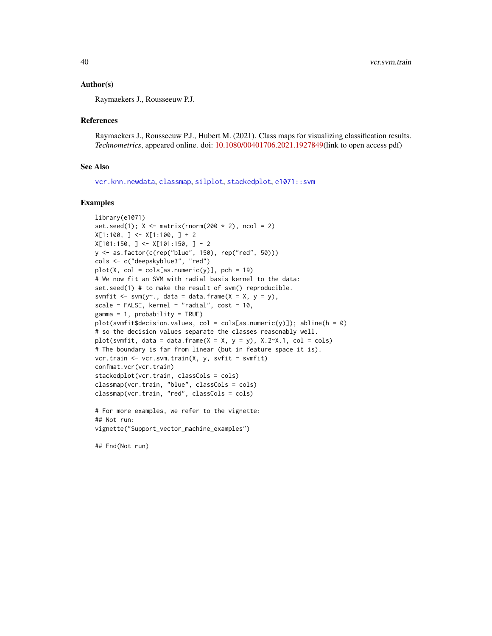#### <span id="page-39-0"></span>Author(s)

Raymaekers J., Rousseeuw P.J.

#### References

Raymaekers J., Rousseeuw P.J., Hubert M. (2021). Class maps for visualizing classification results. *Technometrics*, appeared online. doi: [10.1080/00401706.2021.1927849\(](https://doi.org/10.1080/00401706.2021.1927849)link to open access pdf)

#### See Also

[vcr.knn.newdata](#page-25-1), [classmap](#page-1-1), [silplot](#page-14-1), [stackedplot](#page-16-1), [e1071::svm](#page-0-0)

#### Examples

```
library(e1071)
set.seed(1); X \leq -\text{matrix}(rnorm(200 \times 2), ncol = 2)X[1:100, ] \leftarrow X[1:100, ] + 2X[101:150, ] \leftarrow X[101:150, ] - 2y <- as.factor(c(rep("blue", 150), rep("red", 50)))
cols <- c("deepskyblue3", "red")
plot(X, col = cols[as.numeric(y)], pch = 19)# We now fit an SVM with radial basis kernel to the data:
set.seed(1) # to make the result of svm() reproducible.
svmfit \leq svm(y\leq, data = data.frame(X = X, y = y),
scale = FALSE, kernel = "radial", cost = 10,
gamma = 1, probability = TRUE)
plot(symfit$decision.values, col = colspan[as.numeric(y)]); abline(h = 0)# so the decision values separate the classes reasonably well.
plot(svmfit, data = data.frame(X = X, y = y), X.2-X.1, col = cols)
# The boundary is far from linear (but in feature space it is).
vcr.train <- vcr.svm.train(X, y, svfit = svmfit)
confmat.vcr(vcr.train)
stackedplot(vcr.train, classCols = cols)
classmap(vcr.train, "blue", classCols = cols)
classmap(vcr.train, "red", classCols = cols)
# For more examples, we refer to the vignette:
## Not run:
vignette("Support_vector_machine_examples")
```
## End(Not run)